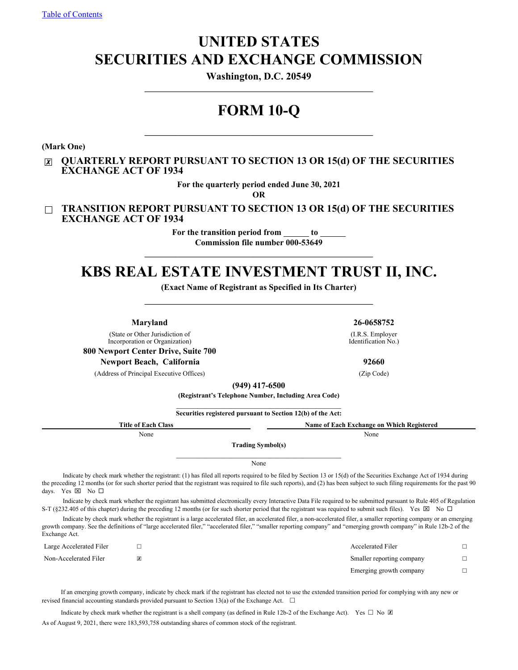# **UNITED STATES SECURITIES AND EXCHANGE COMMISSION**

**Washington, D.C. 20549**

# **FORM 10-Q**

**(Mark One)**

## ☒ **QUARTERLY REPORT PURSUANT TO SECTION 13 OR 15(d) OF THE SECURITIES EXCHANGE ACT OF 1934**

**For the quarterly period ended June 30, 2021**

**OR**

☐ **TRANSITION REPORT PURSUANT TO SECTION 13 OR 15(d) OF THE SECURITIES EXCHANGE ACT OF 1934**

> For the transition period from \_\_\_\_\_\_\_ to **Commission file number 000-53649**

# **KBS REAL ESTATE INVESTMENT TRUST II, INC.**

**\_\_\_\_\_\_\_\_\_\_\_\_\_\_\_\_\_\_\_\_\_\_\_\_\_\_\_\_\_\_\_\_\_\_\_\_\_\_\_\_\_\_\_\_\_\_\_\_\_\_\_\_\_\_**

**(Exact Name of Registrant as Specified in Its Charter)**  $\mathcal{L} = \{ \mathcal{L} \mathcal{L} \mathcal{L} \mathcal{L} \mathcal{L} \mathcal{L} \mathcal{L} \mathcal{L} \mathcal{L} \mathcal{L} \mathcal{L} \mathcal{L} \mathcal{L} \mathcal{L} \mathcal{L} \mathcal{L} \mathcal{L} \mathcal{L} \mathcal{L} \mathcal{L} \mathcal{L} \mathcal{L} \mathcal{L} \mathcal{L} \mathcal{L} \mathcal{L} \mathcal{L} \mathcal{L} \mathcal{L} \mathcal{L} \mathcal{L} \mathcal{L} \mathcal{L} \mathcal{L} \mathcal{L} \$ 

> (I.R.S. Employer Identification No.)

**Maryland 26-0658752**

(State or Other Jurisdiction of Incorporation or Organization)

**800 Newport Center Drive, Suite 700**

**Newport Beach, California 92660**

(Address of Principal Executive Offices) (Zip Code)

**(949) 417-6500**

**(Registrant's Telephone Number, Including Area Code)**  $\mathcal{L}_\text{max}$  and  $\mathcal{L}_\text{max}$  and  $\mathcal{L}_\text{max}$  and  $\mathcal{L}_\text{max}$ 

**Securities registered pursuant to Section 12(b) of the Act:**

| <b>Title of Each Class</b> | Name of Each Exchange on Which Registered |
|----------------------------|-------------------------------------------|
| None                       | None                                      |
|                            | <b>Trading Symbol(s)</b>                  |

None

Indicate by check mark whether the registrant: (1) has filed all reports required to be filed by Section 13 or 15(d) of the Securities Exchange Act of 1934 during the preceding 12 months (or for such shorter period that the registrant was required to file such reports), and (2) has been subject to such filing requirements for the past 90 days. Yes  $\boxtimes$  No  $\square$ 

Indicate by check mark whether the registrant has submitted electronically every Interactive Data File required to be submitted pursuant to Rule 405 of Regulation S-T (§232.405 of this chapter) during the preceding 12 months (or for such shorter period that the registrant was required to submit such files). Yes  $\boxtimes$  No  $\Box$ 

Indicate by check mark whether the registrant is a large accelerated filer, an accelerated filer, a non-accelerated filer, a smaller reporting company or an emerging growth company. See the definitions of "large accelerated filer," "accelerated filer," "smaller reporting company" and "emerging growth company" in Rule 12b-2 of the Exchange Act.

| Large Accelerated Filer | Accelerated Filer         |  |
|-------------------------|---------------------------|--|
| Non-Accelerated Filer   | Smaller reporting company |  |
|                         | Emerging growth company   |  |

If an emerging growth company, indicate by check mark if the registrant has elected not to use the extended transition period for complying with any new or revised financial accounting standards provided pursuant to Section 13(a) of the Exchange Act.  $\Box$ 

Indicate by check mark whether the registrant is a shell company (as defined in Rule 12b-2 of the Exchange Act). Yes  $\Box$  No  $\Box$ As of August 9, 2021, there were 183,593,758 outstanding shares of common stock of the registrant.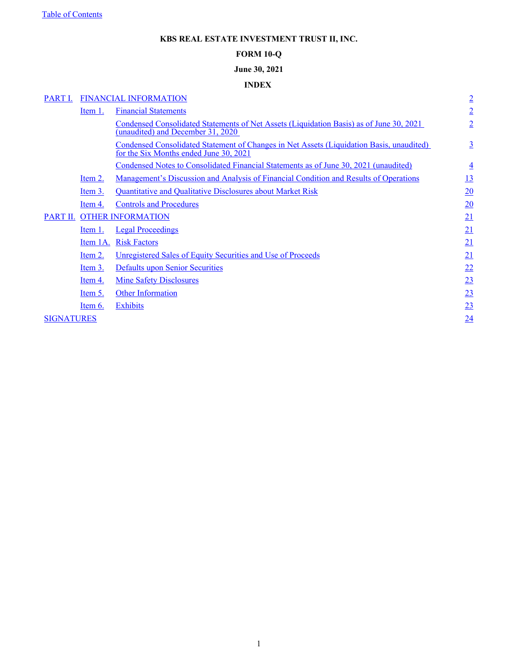## **KBS REAL ESTATE INVESTMENT TRUST II, INC.**

## **FORM 10-Q**

## **June 30, 2021**

## **INDEX**

<span id="page-1-0"></span>

| PART I.           |                | FINANCIAL INFORMATION                                                                                                              | $\overline{2}$  |
|-------------------|----------------|------------------------------------------------------------------------------------------------------------------------------------|-----------------|
|                   | Item 1.        | <b>Financial Statements</b>                                                                                                        | $\overline{2}$  |
|                   |                | Condensed Consolidated Statements of Net Assets (Liquidation Basis) as of June 30, 2021<br>(unaudited) and December 31, 2020       | $\overline{2}$  |
|                   |                | Condensed Consolidated Statement of Changes in Net Assets (Liquidation Basis, unaudited)<br>for the Six Months ended June 30, 2021 | $\underline{3}$ |
|                   |                | Condensed Notes to Consolidated Financial Statements as of June 30, 2021 (unaudited)                                               | $\overline{4}$  |
|                   | <u>Item 2.</u> | Management's Discussion and Analysis of Financial Condition and Results of Operations                                              | 13              |
|                   | Item 3.        | Quantitative and Qualitative Disclosures about Market Risk                                                                         | 20              |
|                   | Item 4.        | <b>Controls and Procedures</b>                                                                                                     | 20              |
| PART II.          |                | <b>OTHER INFORMATION</b>                                                                                                           | 21              |
|                   | Item 1.        | <b>Legal Proceedings</b>                                                                                                           | 21              |
|                   | Item 1A.       | <b>Risk Factors</b>                                                                                                                | 21              |
|                   | Item 2.        | Unregistered Sales of Equity Securities and Use of Proceeds                                                                        | 21              |
|                   | Item $3.$      | Defaults upon Senior Securities                                                                                                    | 22              |
|                   | Item 4.        | <b>Mine Safety Disclosures</b>                                                                                                     | 23              |
|                   | Item 5.        | <b>Other Information</b>                                                                                                           | 23              |
|                   | Item $6.$      | <b>Exhibits</b>                                                                                                                    | 23              |
| <b>SIGNATURES</b> |                |                                                                                                                                    | 24              |
|                   |                |                                                                                                                                    |                 |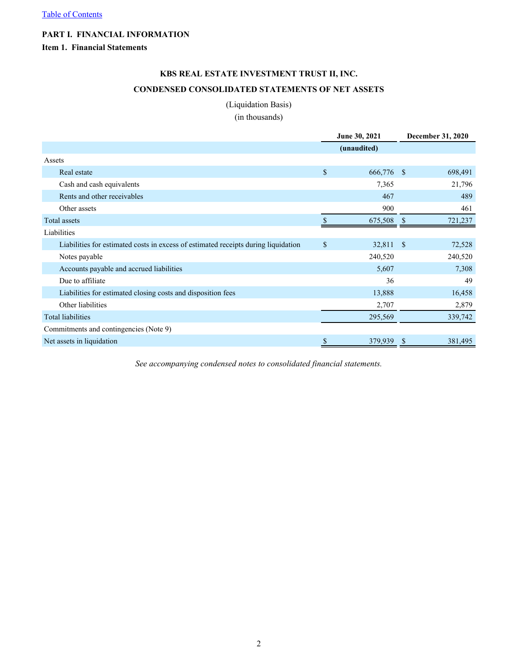## <span id="page-2-0"></span>**PART I. FINANCIAL INFORMATION**

## **Item 1. Financial Statements**

## **KBS REAL ESTATE INVESTMENT TRUST II, INC.**

## **CONDENSED CONSOLIDATED STATEMENTS OF NET ASSETS**

## (Liquidation Basis)

(in thousands)

|                                                                                    |    | June 30, 2021 |              | <b>December 31, 2020</b> |
|------------------------------------------------------------------------------------|----|---------------|--------------|--------------------------|
|                                                                                    |    | (unaudited)   |              |                          |
| Assets                                                                             |    |               |              |                          |
| Real estate                                                                        | \$ | 666,776       | <sup>S</sup> | 698,491                  |
| Cash and cash equivalents                                                          |    | 7,365         |              | 21,796                   |
| Rents and other receivables                                                        |    | 467           |              | 489                      |
| Other assets                                                                       |    | 900           |              | 461                      |
| Total assets                                                                       |    | 675,508       | -S           | 721,237                  |
| Liabilities                                                                        |    |               |              |                          |
| Liabilities for estimated costs in excess of estimated receipts during liquidation | \$ | 32,811        | <sup>S</sup> | 72,528                   |
| Notes payable                                                                      |    | 240,520       |              | 240,520                  |
| Accounts payable and accrued liabilities                                           |    | 5,607         |              | 7,308                    |
| Due to affiliate                                                                   |    | 36            |              | 49                       |
| Liabilities for estimated closing costs and disposition fees                       |    | 13,888        |              | 16,458                   |
| Other liabilities                                                                  |    | 2,707         |              | 2,879                    |
| <b>Total liabilities</b>                                                           |    | 295,569       |              | 339,742                  |
| Commitments and contingencies (Note 9)                                             |    |               |              |                          |
| Net assets in liquidation                                                          | \$ | 379,939       |              | 381,495                  |

*See accompanying condensed notes to consolidated financial statements.*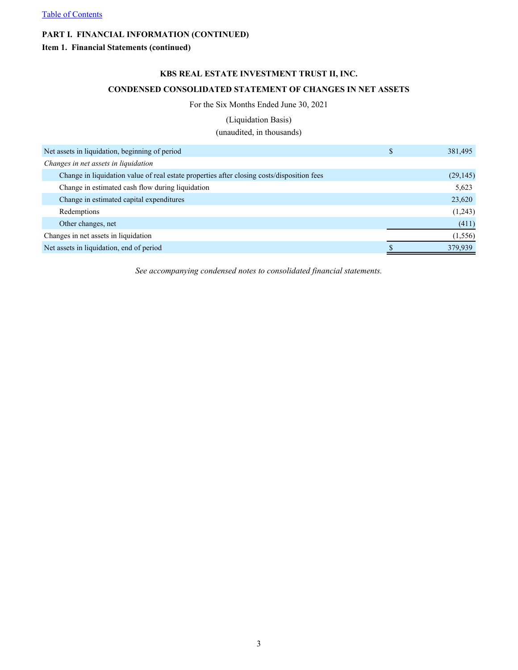## <span id="page-3-0"></span>**Item 1. Financial Statements (continued)**

## **KBS REAL ESTATE INVESTMENT TRUST II, INC.**

## **CONDENSED CONSOLIDATED STATEMENT OF CHANGES IN NET ASSETS**

## For the Six Months Ended June 30, 2021

## (Liquidation Basis)

(unaudited, in thousands)

| Net assets in liquidation, beginning of period                                             | \$<br>381,495 |
|--------------------------------------------------------------------------------------------|---------------|
| Changes in net assets in liquidation                                                       |               |
| Change in liquidation value of real estate properties after closing costs/disposition fees | (29, 145)     |
| Change in estimated cash flow during liquidation                                           | 5,623         |
| Change in estimated capital expenditures                                                   | 23,620        |
| Redemptions                                                                                | (1,243)       |
| Other changes, net                                                                         | (411)         |
| Changes in net assets in liquidation                                                       | (1,556)       |
| Net assets in liquidation, end of period                                                   | 379,939       |

*See accompanying condensed notes to consolidated financial statements.*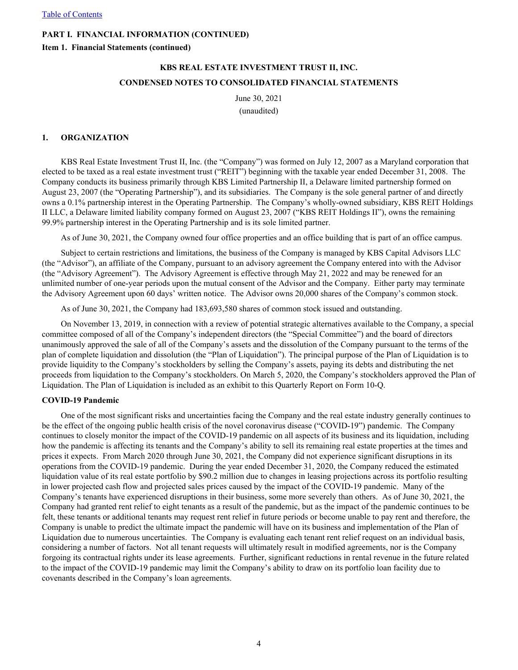<span id="page-4-0"></span>**Item 1. Financial Statements (continued)**

# **KBS REAL ESTATE INVESTMENT TRUST II, INC. CONDENSED NOTES TO CONSOLIDATED FINANCIAL STATEMENTS**

June 30, 2021 (unaudited)

#### **1. ORGANIZATION**

KBS Real Estate Investment Trust II, Inc. (the "Company") was formed on July 12, 2007 as a Maryland corporation that elected to be taxed as a real estate investment trust ("REIT") beginning with the taxable year ended December 31, 2008. The Company conducts its business primarily through KBS Limited Partnership II, a Delaware limited partnership formed on August 23, 2007 (the "Operating Partnership"), and its subsidiaries. The Company is the sole general partner of and directly owns a 0.1% partnership interest in the Operating Partnership. The Company's wholly-owned subsidiary, KBS REIT Holdings II LLC, a Delaware limited liability company formed on August 23, 2007 ("KBS REIT Holdings II"), owns the remaining 99.9% partnership interest in the Operating Partnership and is its sole limited partner.

As of June 30, 2021, the Company owned four office properties and an office building that is part of an office campus.

Subject to certain restrictions and limitations, the business of the Company is managed by KBS Capital Advisors LLC (the "Advisor"), an affiliate of the Company, pursuant to an advisory agreement the Company entered into with the Advisor (the "Advisory Agreement"). The Advisory Agreement is effective through May 21, 2022 and may be renewed for an unlimited number of one-year periods upon the mutual consent of the Advisor and the Company. Either party may terminate the Advisory Agreement upon 60 days' written notice. The Advisor owns 20,000 shares of the Company's common stock.

As of June 30, 2021, the Company had 183,693,580 shares of common stock issued and outstanding.

On November 13, 2019, in connection with a review of potential strategic alternatives available to the Company, a special committee composed of all of the Company's independent directors (the "Special Committee") and the board of directors unanimously approved the sale of all of the Company's assets and the dissolution of the Company pursuant to the terms of the plan of complete liquidation and dissolution (the "Plan of Liquidation"). The principal purpose of the Plan of Liquidation is to provide liquidity to the Company's stockholders by selling the Company's assets, paying its debts and distributing the net proceeds from liquidation to the Company's stockholders. On March 5, 2020, the Company's stockholders approved the Plan of Liquidation. The Plan of Liquidation is included as an exhibit to this Quarterly Report on Form 10-Q.

#### **COVID-19 Pandemic**

One of the most significant risks and uncertainties facing the Company and the real estate industry generally continues to be the effect of the ongoing public health crisis of the novel coronavirus disease ("COVID-19") pandemic. The Company continues to closely monitor the impact of the COVID-19 pandemic on all aspects of its business and its liquidation, including how the pandemic is affecting its tenants and the Company's ability to sell its remaining real estate properties at the times and prices it expects. From March 2020 through June 30, 2021, the Company did not experience significant disruptions in its operations from the COVID-19 pandemic. During the year ended December 31, 2020, the Company reduced the estimated liquidation value of its real estate portfolio by \$90.2 million due to changes in leasing projections across its portfolio resulting in lower projected cash flow and projected sales prices caused by the impact of the COVID-19 pandemic. Many of the Company's tenants have experienced disruptions in their business, some more severely than others. As of June 30, 2021, the Company had granted rent relief to eight tenants as a result of the pandemic, but as the impact of the pandemic continues to be felt, these tenants or additional tenants may request rent relief in future periods or become unable to pay rent and therefore, the Company is unable to predict the ultimate impact the pandemic will have on its business and implementation of the Plan of Liquidation due to numerous uncertainties. The Company is evaluating each tenant rent relief request on an individual basis, considering a number of factors. Not all tenant requests will ultimately result in modified agreements, nor is the Company forgoing its contractual rights under its lease agreements. Further, significant reductions in rental revenue in the future related to the impact of the COVID-19 pandemic may limit the Company's ability to draw on its portfolio loan facility due to covenants described in the Company's loan agreements.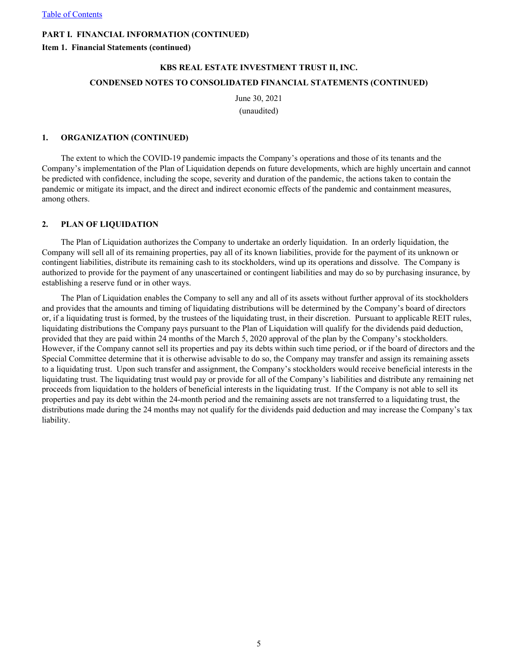**Item 1. Financial Statements (continued)**

# **KBS REAL ESTATE INVESTMENT TRUST II, INC. CONDENSED NOTES TO CONSOLIDATED FINANCIAL STATEMENTS (CONTINUED)**

June 30, 2021 (unaudited)

### **1. ORGANIZATION (CONTINUED)**

The extent to which the COVID-19 pandemic impacts the Company's operations and those of its tenants and the Company's implementation of the Plan of Liquidation depends on future developments, which are highly uncertain and cannot be predicted with confidence, including the scope, severity and duration of the pandemic, the actions taken to contain the pandemic or mitigate its impact, and the direct and indirect economic effects of the pandemic and containment measures, among others.

#### **2. PLAN OF LIQUIDATION**

The Plan of Liquidation authorizes the Company to undertake an orderly liquidation. In an orderly liquidation, the Company will sell all of its remaining properties, pay all of its known liabilities, provide for the payment of its unknown or contingent liabilities, distribute its remaining cash to its stockholders, wind up its operations and dissolve. The Company is authorized to provide for the payment of any unascertained or contingent liabilities and may do so by purchasing insurance, by establishing a reserve fund or in other ways.

The Plan of Liquidation enables the Company to sell any and all of its assets without further approval of its stockholders and provides that the amounts and timing of liquidating distributions will be determined by the Company's board of directors or, if a liquidating trust is formed, by the trustees of the liquidating trust, in their discretion. Pursuant to applicable REIT rules, liquidating distributions the Company pays pursuant to the Plan of Liquidation will qualify for the dividends paid deduction, provided that they are paid within 24 months of the March 5, 2020 approval of the plan by the Company's stockholders. However, if the Company cannot sell its properties and pay its debts within such time period, or if the board of directors and the Special Committee determine that it is otherwise advisable to do so, the Company may transfer and assign its remaining assets to a liquidating trust. Upon such transfer and assignment, the Company's stockholders would receive beneficial interests in the liquidating trust. The liquidating trust would pay or provide for all of the Company's liabilities and distribute any remaining net proceeds from liquidation to the holders of beneficial interests in the liquidating trust. If the Company is not able to sell its properties and pay its debt within the 24-month period and the remaining assets are not transferred to a liquidating trust, the distributions made during the 24 months may not qualify for the dividends paid deduction and may increase the Company's tax liability.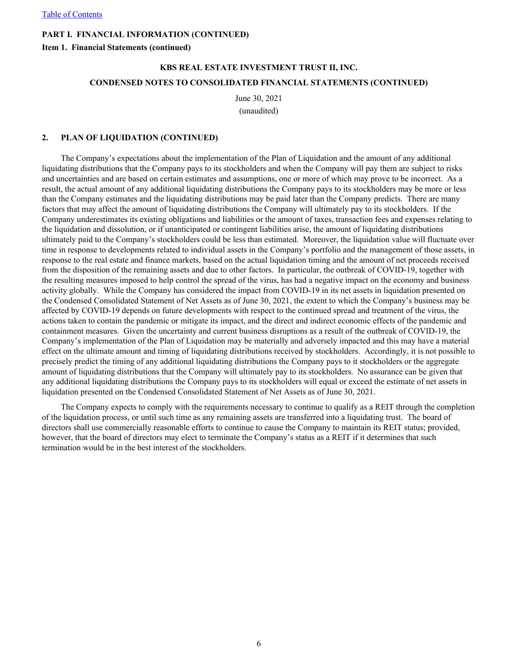**Item 1. Financial Statements (continued)**

# **KBS REAL ESTATE INVESTMENT TRUST II, INC. CONDENSED NOTES TO CONSOLIDATED FINANCIAL STATEMENTS (CONTINUED)**

June 30, 2021 (unaudited)

#### **2. PLAN OF LIQUIDATION (CONTINUED)**

The Company's expectations about the implementation of the Plan of Liquidation and the amount of any additional liquidating distributions that the Company pays to its stockholders and when the Company will pay them are subject to risks and uncertainties and are based on certain estimates and assumptions, one or more of which may prove to be incorrect. As a result, the actual amount of any additional liquidating distributions the Company pays to its stockholders may be more or less than the Company estimates and the liquidating distributions may be paid later than the Company predicts. There are many factors that may affect the amount of liquidating distributions the Company will ultimately pay to its stockholders. If the Company underestimates its existing obligations and liabilities or the amount of taxes, transaction fees and expenses relating to the liquidation and dissolution, or if unanticipated or contingent liabilities arise, the amount of liquidating distributions ultimately paid to the Company's stockholders could be less than estimated. Moreover, the liquidation value will fluctuate over time in response to developments related to individual assets in the Company's portfolio and the management of those assets, in response to the real estate and finance markets, based on the actual liquidation timing and the amount of net proceeds received from the disposition of the remaining assets and due to other factors. In particular, the outbreak of COVID-19, together with the resulting measures imposed to help control the spread of the virus, has had a negative impact on the economy and business activity globally. While the Company has considered the impact from COVID-19 in its net assets in liquidation presented on the Condensed Consolidated Statement of Net Assets as of June 30, 2021, the extent to which the Company's business may be affected by COVID-19 depends on future developments with respect to the continued spread and treatment of the virus, the actions taken to contain the pandemic or mitigate its impact, and the direct and indirect economic effects of the pandemic and containment measures. Given the uncertainty and current business disruptions as a result of the outbreak of COVID-19, the Company's implementation of the Plan of Liquidation may be materially and adversely impacted and this may have a material effect on the ultimate amount and timing of liquidating distributions received by stockholders. Accordingly, it is not possible to precisely predict the timing of any additional liquidating distributions the Company pays to it stockholders or the aggregate amount of liquidating distributions that the Company will ultimately pay to its stockholders. No assurance can be given that any additional liquidating distributions the Company pays to its stockholders will equal or exceed the estimate of net assets in liquidation presented on the Condensed Consolidated Statement of Net Assets as of June 30, 2021.

The Company expects to comply with the requirements necessary to continue to qualify as a REIT through the completion of the liquidation process, or until such time as any remaining assets are transferred into a liquidating trust. The board of directors shall use commercially reasonable efforts to continue to cause the Company to maintain its REIT status; provided, however, that the board of directors may elect to terminate the Company's status as a REIT if it determines that such termination would be in the best interest of the stockholders.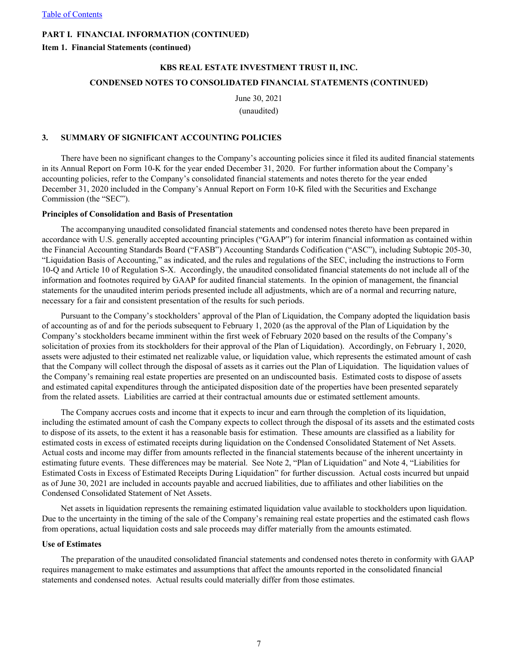**Item 1. Financial Statements (continued)**

# **KBS REAL ESTATE INVESTMENT TRUST II, INC. CONDENSED NOTES TO CONSOLIDATED FINANCIAL STATEMENTS (CONTINUED)**

June 30, 2021 (unaudited)

#### **3. SUMMARY OF SIGNIFICANT ACCOUNTING POLICIES**

There have been no significant changes to the Company's accounting policies since it filed its audited financial statements in its Annual Report on Form 10-K for the year ended December 31, 2020. For further information about the Company's accounting policies, refer to the Company's consolidated financial statements and notes thereto for the year ended December 31, 2020 included in the Company's Annual Report on Form 10-K filed with the Securities and Exchange Commission (the "SEC").

#### **Principles of Consolidation and Basis of Presentation**

The accompanying unaudited consolidated financial statements and condensed notes thereto have been prepared in accordance with U.S. generally accepted accounting principles ("GAAP") for interim financial information as contained within the Financial Accounting Standards Board ("FASB") Accounting Standards Codification ("ASC"), including Subtopic 205-30, "Liquidation Basis of Accounting," as indicated, and the rules and regulations of the SEC, including the instructions to Form 10-Q and Article 10 of Regulation S-X. Accordingly, the unaudited consolidated financial statements do not include all of the information and footnotes required by GAAP for audited financial statements. In the opinion of management, the financial statements for the unaudited interim periods presented include all adjustments, which are of a normal and recurring nature, necessary for a fair and consistent presentation of the results for such periods.

Pursuant to the Company's stockholders' approval of the Plan of Liquidation, the Company adopted the liquidation basis of accounting as of and for the periods subsequent to February 1, 2020 (as the approval of the Plan of Liquidation by the Company's stockholders became imminent within the first week of February 2020 based on the results of the Company's solicitation of proxies from its stockholders for their approval of the Plan of Liquidation). Accordingly, on February 1, 2020, assets were adjusted to their estimated net realizable value, or liquidation value, which represents the estimated amount of cash that the Company will collect through the disposal of assets as it carries out the Plan of Liquidation. The liquidation values of the Company's remaining real estate properties are presented on an undiscounted basis. Estimated costs to dispose of assets and estimated capital expenditures through the anticipated disposition date of the properties have been presented separately from the related assets. Liabilities are carried at their contractual amounts due or estimated settlement amounts.

The Company accrues costs and income that it expects to incur and earn through the completion of its liquidation, including the estimated amount of cash the Company expects to collect through the disposal of its assets and the estimated costs to dispose of its assets, to the extent it has a reasonable basis for estimation. These amounts are classified as a liability for estimated costs in excess of estimated receipts during liquidation on the Condensed Consolidated Statement of Net Assets. Actual costs and income may differ from amounts reflected in the financial statements because of the inherent uncertainty in estimating future events. These differences may be material. See Note 2, "Plan of Liquidation" and Note 4, "Liabilities for Estimated Costs in Excess of Estimated Receipts During Liquidation" for further discussion. Actual costs incurred but unpaid as of June 30, 2021 are included in accounts payable and accrued liabilities, due to affiliates and other liabilities on the Condensed Consolidated Statement of Net Assets.

Net assets in liquidation represents the remaining estimated liquidation value available to stockholders upon liquidation. Due to the uncertainty in the timing of the sale of the Company's remaining real estate properties and the estimated cash flows from operations, actual liquidation costs and sale proceeds may differ materially from the amounts estimated.

#### **Use of Estimates**

The preparation of the unaudited consolidated financial statements and condensed notes thereto in conformity with GAAP requires management to make estimates and assumptions that affect the amounts reported in the consolidated financial statements and condensed notes. Actual results could materially differ from those estimates.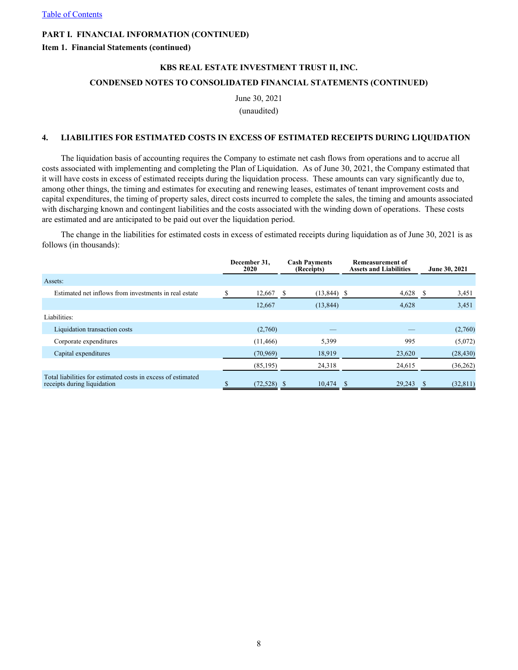**Item 1. Financial Statements (continued)**

# **KBS REAL ESTATE INVESTMENT TRUST II, INC. CONDENSED NOTES TO CONSOLIDATED FINANCIAL STATEMENTS (CONTINUED)**

June 30, 2021 (unaudited)

# **4. LIABILITIES FOR ESTIMATED COSTS IN EXCESS OF ESTIMATED RECEIPTS DURING LIQUIDATION**

The liquidation basis of accounting requires the Company to estimate net cash flows from operations and to accrue all costs associated with implementing and completing the Plan of Liquidation. As of June 30, 2021, the Company estimated that it will have costs in excess of estimated receipts during the liquidation process. These amounts can vary significantly due to, among other things, the timing and estimates for executing and renewing leases, estimates of tenant improvement costs and capital expenditures, the timing of property sales, direct costs incurred to complete the sales, the timing and amounts associated with discharging known and contingent liabilities and the costs associated with the winding down of operations. These costs are estimated and are anticipated to be paid out over the liquidation period.

The change in the liabilities for estimated costs in excess of estimated receipts during liquidation as of June 30, 2021 is as follows (in thousands):

|                                                                                             | December 31,<br>2020 |    | <b>Cash Payments</b><br>(Receipts) | <b>Remeasurement of</b><br><b>Assets and Liabilities</b> |  | June 30, 2021 |
|---------------------------------------------------------------------------------------------|----------------------|----|------------------------------------|----------------------------------------------------------|--|---------------|
| Assets:                                                                                     |                      |    |                                    |                                                          |  |               |
| Estimated net inflows from investments in real estate                                       | 12,667               | -S | $(13,844)$ \$                      | $4,628$ \$                                               |  | 3,451         |
|                                                                                             | 12,667               |    | (13, 844)                          | 4,628                                                    |  | 3,451         |
| Liabilities:                                                                                |                      |    |                                    |                                                          |  |               |
| Liquidation transaction costs                                                               | (2,760)              |    |                                    |                                                          |  | (2,760)       |
| Corporate expenditures                                                                      | (11, 466)            |    | 5,399                              | 995                                                      |  | (5,072)       |
| Capital expenditures                                                                        | (70, 969)            |    | 18,919                             | 23,620                                                   |  | (28, 430)     |
|                                                                                             | (85, 195)            |    | 24,318                             | 24,615                                                   |  | (36, 262)     |
| Total liabilities for estimated costs in excess of estimated<br>receipts during liquidation | $(72,528)$ \$        |    | 10,474                             | 29,243                                                   |  | (32, 811)     |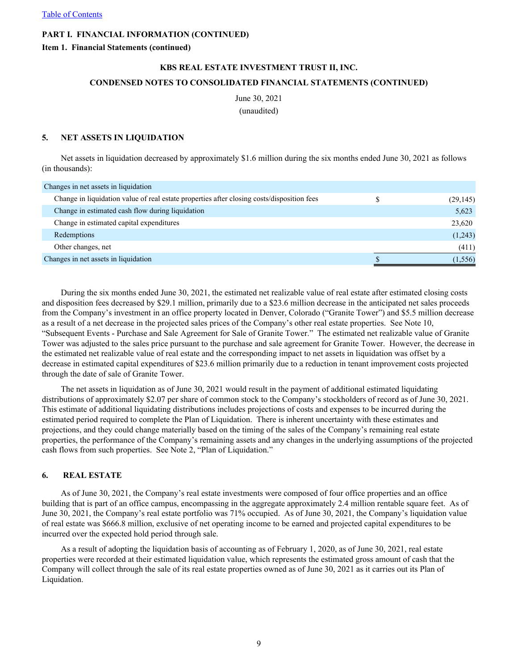#### **Item 1. Financial Statements (continued)**

#### **KBS REAL ESTATE INVESTMENT TRUST II, INC.**

## **CONDENSED NOTES TO CONSOLIDATED FINANCIAL STATEMENTS (CONTINUED)**

June 30, 2021 (unaudited)

**5. NET ASSETS IN LIQUIDATION**

Net assets in liquidation decreased by approximately \$1.6 million during the six months ended June 30, 2021 as follows (in thousands):

| Changes in net assets in liquidation                                                       |           |
|--------------------------------------------------------------------------------------------|-----------|
| Change in liquidation value of real estate properties after closing costs/disposition fees | (29, 145) |
| Change in estimated cash flow during liquidation                                           | 5,623     |
| Change in estimated capital expenditures                                                   | 23,620    |
| Redemptions                                                                                | (1,243)   |
| Other changes, net                                                                         | (411)     |
| Changes in net assets in liquidation                                                       | (1, 556)  |

During the six months ended June 30, 2021, the estimated net realizable value of real estate after estimated closing costs and disposition fees decreased by \$29.1 million, primarily due to a \$23.6 million decrease in the anticipated net sales proceeds from the Company's investment in an office property located in Denver, Colorado ("Granite Tower") and \$5.5 million decrease as a result of a net decrease in the projected sales prices of the Company's other real estate properties. See Note 10, "Subsequent Events - Purchase and Sale Agreement for Sale of Granite Tower." The estimated net realizable value of Granite Tower was adjusted to the sales price pursuant to the purchase and sale agreement for Granite Tower. However, the decrease in the estimated net realizable value of real estate and the corresponding impact to net assets in liquidation was offset by a decrease in estimated capital expenditures of \$23.6 million primarily due to a reduction in tenant improvement costs projected through the date of sale of Granite Tower.

The net assets in liquidation as of June 30, 2021 would result in the payment of additional estimated liquidating distributions of approximately \$2.07 per share of common stock to the Company's stockholders of record as of June 30, 2021. This estimate of additional liquidating distributions includes projections of costs and expenses to be incurred during the estimated period required to complete the Plan of Liquidation. There is inherent uncertainty with these estimates and projections, and they could change materially based on the timing of the sales of the Company's remaining real estate properties, the performance of the Company's remaining assets and any changes in the underlying assumptions of the projected cash flows from such properties. See Note 2, "Plan of Liquidation."

## **6. REAL ESTATE**

As of June 30, 2021, the Company's real estate investments were composed of four office properties and an office building that is part of an office campus, encompassing in the aggregate approximately 2.4 million rentable square feet. As of June 30, 2021, the Company's real estate portfolio was 71% occupied. As of June 30, 2021, the Company's liquidation value of real estate was \$666.8 million, exclusive of net operating income to be earned and projected capital expenditures to be incurred over the expected hold period through sale.

As a result of adopting the liquidation basis of accounting as of February 1, 2020, as of June 30, 2021, real estate properties were recorded at their estimated liquidation value, which represents the estimated gross amount of cash that the Company will collect through the sale of its real estate properties owned as of June 30, 2021 as it carries out its Plan of Liquidation.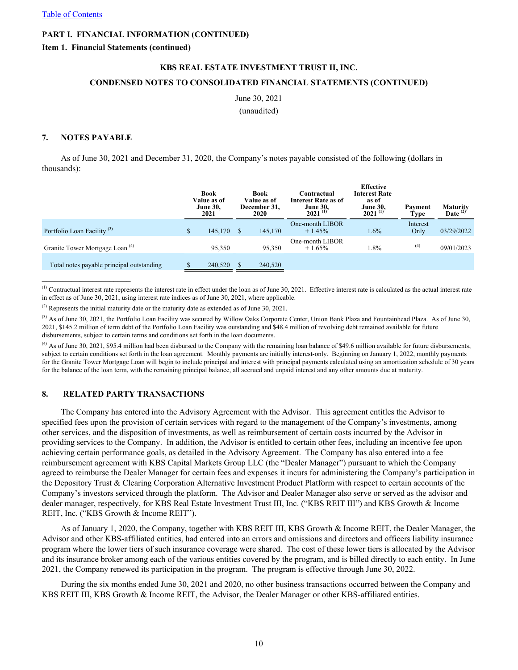#### **Item 1. Financial Statements (continued)**

#### **KBS REAL ESTATE INVESTMENT TRUST II, INC.**

## **CONDENSED NOTES TO CONSOLIDATED FINANCIAL STATEMENTS (CONTINUED)**

June 30, 2021 (unaudited)

#### **7. NOTES PAYABLE**

As of June 30, 2021 and December 31, 2020, the Company's notes payable consisted of the following (dollars in thousands):

|                                            | <b>Book</b><br>Value as of<br><b>June 30,</b><br>2021 |         |   | Book<br>Value as of<br>December 31,<br>2020 | Contractual<br><b>Interest Rate as of</b><br><b>June 30,</b><br>$2021^{(1)}$ | <b>Effective</b><br><b>Interest Rate</b><br>as of<br><b>June 30,</b><br>$2021^{(1)}$ | Payment<br>Type  | <b>Maturity</b><br>Date $(2)$ |  |
|--------------------------------------------|-------------------------------------------------------|---------|---|---------------------------------------------|------------------------------------------------------------------------------|--------------------------------------------------------------------------------------|------------------|-------------------------------|--|
| Portfolio Loan Facility <sup>(3)</sup>     | \$                                                    | 145,170 | S | 145,170                                     | One-month LIBOR<br>$+1.45%$                                                  | 1.6%                                                                                 | Interest<br>Only | 03/29/2022                    |  |
| Granite Tower Mortgage Loan <sup>(4)</sup> |                                                       | 95,350  |   | 95,350                                      | One-month LIBOR<br>$+1.65%$                                                  | 1.8%                                                                                 | (4)              | 09/01/2023                    |  |
| Total notes payable principal outstanding  |                                                       | 240,520 |   | 240,520                                     |                                                                              |                                                                                      |                  |                               |  |

 $^{(1)}$  Contractual interest rate represents the interest rate in effect under the loan as of June 30, 2021. Effective interest rate is calculated as the actual interest rate in effect as of June 30, 2021, using interest rate indices as of June 30, 2021, where applicable.

 $^{(2)}$  Represents the initial maturity date or the maturity date as extended as of June 30, 2021.

 $^{(3)}$  As of June 30, 2021, the Portfolio Loan Facility was secured by Willow Oaks Corporate Center, Union Bank Plaza and Fountainhead Plaza. As of June 30, 2021, \$145.2 million of term debt of the Portfolio Loan Facility was outstanding and \$48.4 million of revolving debt remained available for future disbursements, subject to certain terms and conditions set forth in the loan documents.

<sup>(4)</sup> As of June 30, 2021, \$95.4 million had been disbursed to the Company with the remaining loan balance of \$49.6 million available for future disbursements, subject to certain conditions set forth in the loan agreement. Monthly payments are initially interest-only. Beginning on January 1, 2022, monthly payments for the Granite Tower Mortgage Loan will begin to include principal and interest with principal payments calculated using an amortization schedule of 30 years for the balance of the loan term, with the remaining principal balance, all accrued and unpaid interest and any other amounts due at maturity.

#### **8. RELATED PARTY TRANSACTIONS**

The Company has entered into the Advisory Agreement with the Advisor. This agreement entitles the Advisor to specified fees upon the provision of certain services with regard to the management of the Company's investments, among other services, and the disposition of investments, as well as reimbursement of certain costs incurred by the Advisor in providing services to the Company. In addition, the Advisor is entitled to certain other fees, including an incentive fee upon achieving certain performance goals, as detailed in the Advisory Agreement. The Company has also entered into a fee reimbursement agreement with KBS Capital Markets Group LLC (the "Dealer Manager") pursuant to which the Company agreed to reimburse the Dealer Manager for certain fees and expenses it incurs for administering the Company's participation in the Depository Trust & Clearing Corporation Alternative Investment Product Platform with respect to certain accounts of the Company's investors serviced through the platform. The Advisor and Dealer Manager also serve or served as the advisor and dealer manager, respectively, for KBS Real Estate Investment Trust III, Inc. ("KBS REIT III") and KBS Growth & Income REIT, Inc. ("KBS Growth & Income REIT").

As of January 1, 2020, the Company, together with KBS REIT III, KBS Growth & Income REIT, the Dealer Manager, the Advisor and other KBS-affiliated entities, had entered into an errors and omissions and directors and officers liability insurance program where the lower tiers of such insurance coverage were shared. The cost of these lower tiers is allocated by the Advisor and its insurance broker among each of the various entities covered by the program, and is billed directly to each entity. In June 2021, the Company renewed its participation in the program. The program is effective through June 30, 2022.

During the six months ended June 30, 2021 and 2020, no other business transactions occurred between the Company and KBS REIT III, KBS Growth & Income REIT, the Advisor, the Dealer Manager or other KBS-affiliated entities.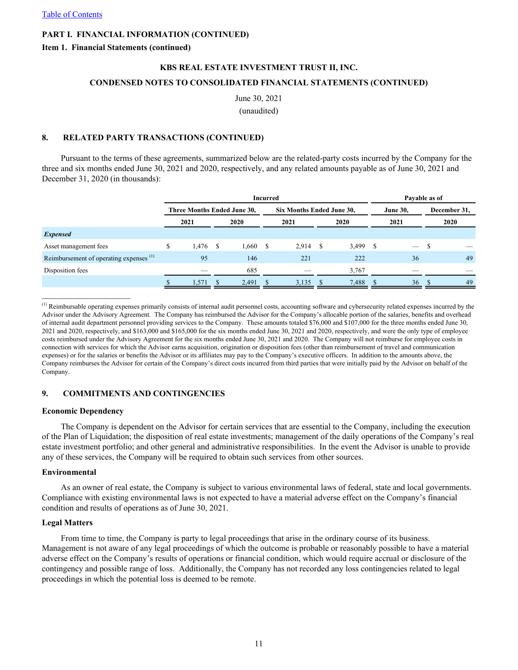#### **Item 1. Financial Statements (continued)**

# **KBS REAL ESTATE INVESTMENT TRUST II, INC. CONDENSED NOTES TO CONSOLIDATED FINANCIAL STATEMENTS (CONTINUED)**

# June 30, 2021

## (unaudited)

## **8. RELATED PARTY TRANSACTIONS (CONTINUED)**

Pursuant to the terms of these agreements, summarized below are the related-party costs incurred by the Company for the three and six months ended June 30, 2021 and 2020, respectively, and any related amounts payable as of June 30, 2021 and December 31, 2020 (in thousands):

| December 31, |
|--------------|
| 2020         |
|              |
|              |
| 49           |
|              |
| 49           |
|              |

 $(1)$  Reimbursable operating expenses primarily consists of internal audit personnel costs, accounting software and cybersecurity related expenses incurred by the Advisor under the Advisory Agreement. The Company has reimbursed the Advisor for the Company's allocable portion of the salaries, benefits and overhead of internal audit department personnel providing services to the Company. These amounts totaled \$76,000 and \$107,000 for the three months ended June 30, 2021 and 2020, respectively, and \$163,000 and \$165,000 for the six months ended June 30, 2021 and 2020, respectively, and were the only type of employee costs reimbursed under the Advisory Agreement for the six months ended June 30, 2021 and 2020. The Company will not reimburse for employee costs in connection with services for which the Advisor earns acquisition, origination or disposition fees (other than reimbursement of travel and communication expenses) or for the salaries or benefits the Advisor or its affiliates may pay to the Company's executive officers. In addition to the amounts above, the Company reimburses the Advisor for certain of the Company's direct costs incurred from third parties that were initially paid by the Advisor on behalf of the Company.

## **9. COMMITMENTS AND CONTINGENCIES**

#### **Economic Dependency**

The Company is dependent on the Advisor for certain services that are essential to the Company, including the execution of the Plan of Liquidation; the disposition of real estate investments; management of the daily operations of the Company's real estate investment portfolio; and other general and administrative responsibilities. In the event the Advisor is unable to provide any of these services, the Company will be required to obtain such services from other sources.

## **Environmental**

As an owner of real estate, the Company is subject to various environmental laws of federal, state and local governments. Compliance with existing environmental laws is not expected to have a material adverse effect on the Company's financial condition and results of operations as of June 30, 2021.

#### **Legal Matters**

From time to time, the Company is party to legal proceedings that arise in the ordinary course of its business. Management is not aware of any legal proceedings of which the outcome is probable or reasonably possible to have a material adverse effect on the Company's results of operations or financial condition, which would require accrual or disclosure of the contingency and possible range of loss. Additionally, the Company has not recorded any loss contingencies related to legal proceedings in which the potential loss is deemed to be remote.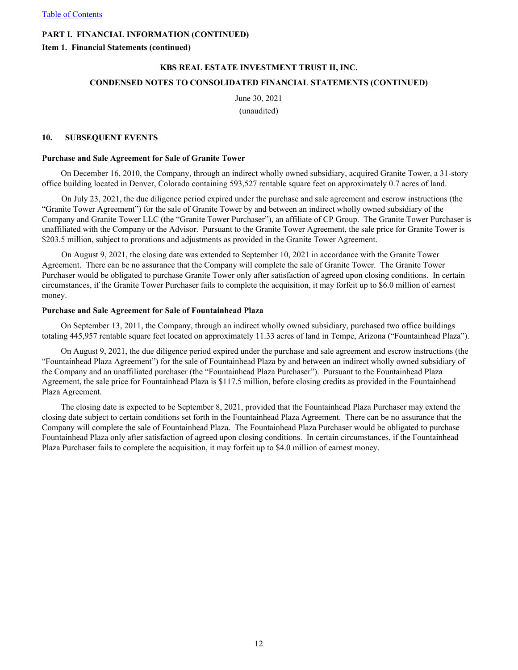#### **Item 1. Financial Statements (continued)**

# **KBS REAL ESTATE INVESTMENT TRUST II, INC. CONDENSED NOTES TO CONSOLIDATED FINANCIAL STATEMENTS (CONTINUED)**

June 30, 2021 (unaudited)

#### **10. SUBSEQUENT EVENTS**

#### **Purchase and Sale Agreement for Sale of Granite Tower**

On December 16, 2010, the Company, through an indirect wholly owned subsidiary, acquired Granite Tower, a 31-story office building located in Denver, Colorado containing 593,527 rentable square feet on approximately 0.7 acres of land.

On July 23, 2021, the due diligence period expired under the purchase and sale agreement and escrow instructions (the "Granite Tower Agreement") for the sale of Granite Tower by and between an indirect wholly owned subsidiary of the Company and Granite Tower LLC (the "Granite Tower Purchaser"), an affiliate of CP Group. The Granite Tower Purchaser is unaffiliated with the Company or the Advisor. Pursuant to the Granite Tower Agreement, the sale price for Granite Tower is \$203.5 million, subject to prorations and adjustments as provided in the Granite Tower Agreement.

On August 9, 2021, the closing date was extended to September 10, 2021 in accordance with the Granite Tower Agreement. There can be no assurance that the Company will complete the sale of Granite Tower. The Granite Tower Purchaser would be obligated to purchase Granite Tower only after satisfaction of agreed upon closing conditions. In certain circumstances, if the Granite Tower Purchaser fails to complete the acquisition, it may forfeit up to \$6.0 million of earnest money.

#### **Purchase and Sale Agreement for Sale of Fountainhead Plaza**

On September 13, 2011, the Company, through an indirect wholly owned subsidiary, purchased two office buildings totaling 445,957 rentable square feet located on approximately 11.33 acres of land in Tempe, Arizona ("Fountainhead Plaza").

On August 9, 2021, the due diligence period expired under the purchase and sale agreement and escrow instructions (the "Fountainhead Plaza Agreement") for the sale of Fountainhead Plaza by and between an indirect wholly owned subsidiary of the Company and an unaffiliated purchaser (the "Fountainhead Plaza Purchaser"). Pursuant to the Fountainhead Plaza Agreement, the sale price for Fountainhead Plaza is \$117.5 million, before closing credits as provided in the Fountainhead Plaza Agreement.

The closing date is expected to be September 8, 2021, provided that the Fountainhead Plaza Purchaser may extend the closing date subject to certain conditions set forth in the Fountainhead Plaza Agreement. There can be no assurance that the Company will complete the sale of Fountainhead Plaza. The Fountainhead Plaza Purchaser would be obligated to purchase Fountainhead Plaza only after satisfaction of agreed upon closing conditions. In certain circumstances, if the Fountainhead Plaza Purchaser fails to complete the acquisition, it may forfeit up to \$4.0 million of earnest money.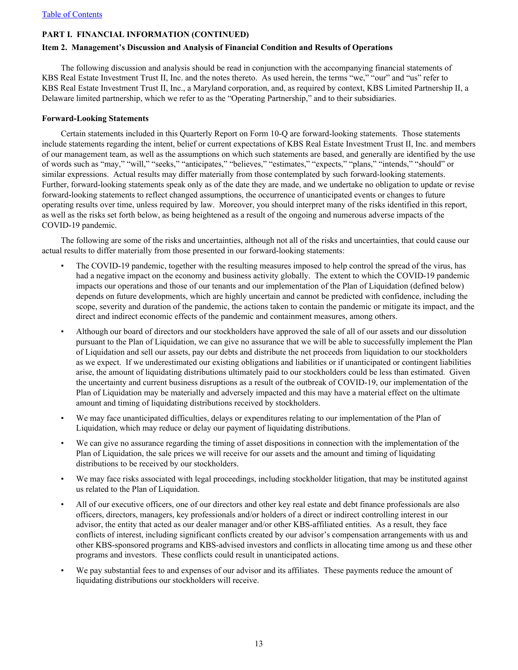## <span id="page-13-0"></span>**Item 2. Management's Discussion and Analysis of Financial Condition and Results of Operations**

The following discussion and analysis should be read in conjunction with the accompanying financial statements of KBS Real Estate Investment Trust II, Inc. and the notes thereto. As used herein, the terms "we," "our" and "us" refer to KBS Real Estate Investment Trust II, Inc., a Maryland corporation, and, as required by context, KBS Limited Partnership II, a Delaware limited partnership, which we refer to as the "Operating Partnership," and to their subsidiaries.

## **Forward-Looking Statements**

Certain statements included in this Quarterly Report on Form 10-Q are forward-looking statements. Those statements include statements regarding the intent, belief or current expectations of KBS Real Estate Investment Trust II, Inc. and members of our management team, as well as the assumptions on which such statements are based, and generally are identified by the use of words such as "may," "will," "seeks," "anticipates," "believes," "estimates," "expects," "plans," "intends," "should" or similar expressions. Actual results may differ materially from those contemplated by such forward-looking statements. Further, forward-looking statements speak only as of the date they are made, and we undertake no obligation to update or revise forward-looking statements to reflect changed assumptions, the occurrence of unanticipated events or changes to future operating results over time, unless required by law. Moreover, you should interpret many of the risks identified in this report, as well as the risks set forth below, as being heightened as a result of the ongoing and numerous adverse impacts of the COVID-19 pandemic.

The following are some of the risks and uncertainties, although not all of the risks and uncertainties, that could cause our actual results to differ materially from those presented in our forward-looking statements:

- The COVID-19 pandemic, together with the resulting measures imposed to help control the spread of the virus, has had a negative impact on the economy and business activity globally. The extent to which the COVID-19 pandemic impacts our operations and those of our tenants and our implementation of the Plan of Liquidation (defined below) depends on future developments, which are highly uncertain and cannot be predicted with confidence, including the scope, severity and duration of the pandemic, the actions taken to contain the pandemic or mitigate its impact, and the direct and indirect economic effects of the pandemic and containment measures, among others.
- Although our board of directors and our stockholders have approved the sale of all of our assets and our dissolution pursuant to the Plan of Liquidation, we can give no assurance that we will be able to successfully implement the Plan of Liquidation and sell our assets, pay our debts and distribute the net proceeds from liquidation to our stockholders as we expect. If we underestimated our existing obligations and liabilities or if unanticipated or contingent liabilities arise, the amount of liquidating distributions ultimately paid to our stockholders could be less than estimated. Given the uncertainty and current business disruptions as a result of the outbreak of COVID-19, our implementation of the Plan of Liquidation may be materially and adversely impacted and this may have a material effect on the ultimate amount and timing of liquidating distributions received by stockholders.
- We may face unanticipated difficulties, delays or expenditures relating to our implementation of the Plan of Liquidation, which may reduce or delay our payment of liquidating distributions.
- We can give no assurance regarding the timing of asset dispositions in connection with the implementation of the Plan of Liquidation, the sale prices we will receive for our assets and the amount and timing of liquidating distributions to be received by our stockholders.
- We may face risks associated with legal proceedings, including stockholder litigation, that may be instituted against us related to the Plan of Liquidation.
- All of our executive officers, one of our directors and other key real estate and debt finance professionals are also officers, directors, managers, key professionals and/or holders of a direct or indirect controlling interest in our advisor, the entity that acted as our dealer manager and/or other KBS-affiliated entities. As a result, they face conflicts of interest, including significant conflicts created by our advisor's compensation arrangements with us and other KBS-sponsored programs and KBS-advised investors and conflicts in allocating time among us and these other programs and investors. These conflicts could result in unanticipated actions.
- We pay substantial fees to and expenses of our advisor and its affiliates. These payments reduce the amount of liquidating distributions our stockholders will receive.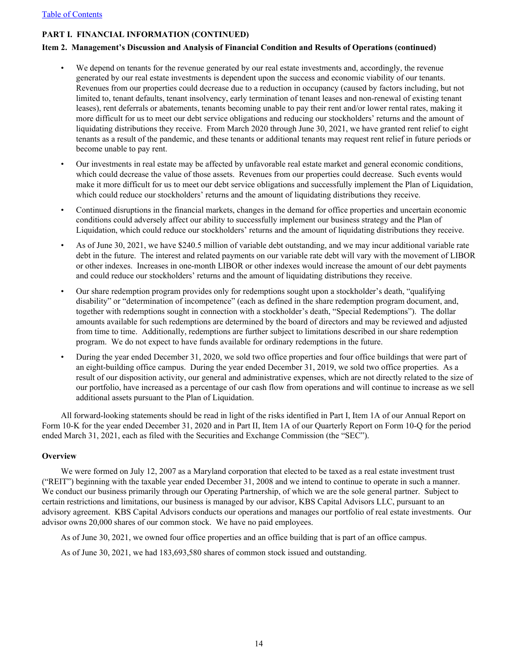## **Item 2. Management's Discussion and Analysis of Financial Condition and Results of Operations (continued)**

- We depend on tenants for the revenue generated by our real estate investments and, accordingly, the revenue generated by our real estate investments is dependent upon the success and economic viability of our tenants. Revenues from our properties could decrease due to a reduction in occupancy (caused by factors including, but not limited to, tenant defaults, tenant insolvency, early termination of tenant leases and non-renewal of existing tenant leases), rent deferrals or abatements, tenants becoming unable to pay their rent and/or lower rental rates, making it more difficult for us to meet our debt service obligations and reducing our stockholders' returns and the amount of liquidating distributions they receive. From March 2020 through June 30, 2021, we have granted rent relief to eight tenants as a result of the pandemic, and these tenants or additional tenants may request rent relief in future periods or become unable to pay rent.
- Our investments in real estate may be affected by unfavorable real estate market and general economic conditions, which could decrease the value of those assets. Revenues from our properties could decrease. Such events would make it more difficult for us to meet our debt service obligations and successfully implement the Plan of Liquidation, which could reduce our stockholders' returns and the amount of liquidating distributions they receive.
- Continued disruptions in the financial markets, changes in the demand for office properties and uncertain economic conditions could adversely affect our ability to successfully implement our business strategy and the Plan of Liquidation, which could reduce our stockholders' returns and the amount of liquidating distributions they receive.
- As of June 30, 2021, we have \$240.5 million of variable debt outstanding, and we may incur additional variable rate debt in the future. The interest and related payments on our variable rate debt will vary with the movement of LIBOR or other indexes. Increases in one-month LIBOR or other indexes would increase the amount of our debt payments and could reduce our stockholders' returns and the amount of liquidating distributions they receive.
- Our share redemption program provides only for redemptions sought upon a stockholder's death, "qualifying disability" or "determination of incompetence" (each as defined in the share redemption program document, and, together with redemptions sought in connection with a stockholder's death, "Special Redemptions"). The dollar amounts available for such redemptions are determined by the board of directors and may be reviewed and adjusted from time to time. Additionally, redemptions are further subject to limitations described in our share redemption program. We do not expect to have funds available for ordinary redemptions in the future.
- During the year ended December 31, 2020, we sold two office properties and four office buildings that were part of an eight-building office campus. During the year ended December 31, 2019, we sold two office properties. As a result of our disposition activity, our general and administrative expenses, which are not directly related to the size of our portfolio, have increased as a percentage of our cash flow from operations and will continue to increase as we sell additional assets pursuant to the Plan of Liquidation.

All forward-looking statements should be read in light of the risks identified in Part I, Item 1A of our Annual Report on Form 10-K for the year ended December 31, 2020 and in Part II, Item 1A of our Quarterly Report on Form 10-Q for the period ended March 31, 2021, each as filed with the Securities and Exchange Commission (the "SEC").

## **Overview**

We were formed on July 12, 2007 as a Maryland corporation that elected to be taxed as a real estate investment trust ("REIT") beginning with the taxable year ended December 31, 2008 and we intend to continue to operate in such a manner. We conduct our business primarily through our Operating Partnership, of which we are the sole general partner. Subject to certain restrictions and limitations, our business is managed by our advisor, KBS Capital Advisors LLC, pursuant to an advisory agreement. KBS Capital Advisors conducts our operations and manages our portfolio of real estate investments. Our advisor owns 20,000 shares of our common stock. We have no paid employees.

As of June 30, 2021, we owned four office properties and an office building that is part of an office campus.

As of June 30, 2021, we had 183,693,580 shares of common stock issued and outstanding.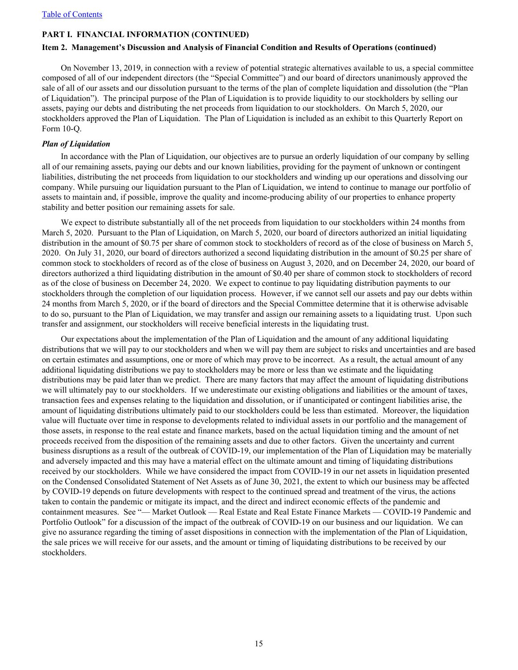## **Item 2. Management's Discussion and Analysis of Financial Condition and Results of Operations (continued)**

On November 13, 2019, in connection with a review of potential strategic alternatives available to us, a special committee composed of all of our independent directors (the "Special Committee") and our board of directors unanimously approved the sale of all of our assets and our dissolution pursuant to the terms of the plan of complete liquidation and dissolution (the "Plan of Liquidation"). The principal purpose of the Plan of Liquidation is to provide liquidity to our stockholders by selling our assets, paying our debts and distributing the net proceeds from liquidation to our stockholders. On March 5, 2020, our stockholders approved the Plan of Liquidation. The Plan of Liquidation is included as an exhibit to this Quarterly Report on Form 10-Q.

#### *Plan of Liquidation*

In accordance with the Plan of Liquidation, our objectives are to pursue an orderly liquidation of our company by selling all of our remaining assets, paying our debts and our known liabilities, providing for the payment of unknown or contingent liabilities, distributing the net proceeds from liquidation to our stockholders and winding up our operations and dissolving our company. While pursuing our liquidation pursuant to the Plan of Liquidation, we intend to continue to manage our portfolio of assets to maintain and, if possible, improve the quality and income-producing ability of our properties to enhance property stability and better position our remaining assets for sale.

We expect to distribute substantially all of the net proceeds from liquidation to our stockholders within 24 months from March 5, 2020. Pursuant to the Plan of Liquidation, on March 5, 2020, our board of directors authorized an initial liquidating distribution in the amount of \$0.75 per share of common stock to stockholders of record as of the close of business on March 5, 2020. On July 31, 2020, our board of directors authorized a second liquidating distribution in the amount of \$0.25 per share of common stock to stockholders of record as of the close of business on August 3, 2020, and on December 24, 2020, our board of directors authorized a third liquidating distribution in the amount of \$0.40 per share of common stock to stockholders of record as of the close of business on December 24, 2020. We expect to continue to pay liquidating distribution payments to our stockholders through the completion of our liquidation process. However, if we cannot sell our assets and pay our debts within 24 months from March 5, 2020, or if the board of directors and the Special Committee determine that it is otherwise advisable to do so, pursuant to the Plan of Liquidation, we may transfer and assign our remaining assets to a liquidating trust. Upon such transfer and assignment, our stockholders will receive beneficial interests in the liquidating trust.

Our expectations about the implementation of the Plan of Liquidation and the amount of any additional liquidating distributions that we will pay to our stockholders and when we will pay them are subject to risks and uncertainties and are based on certain estimates and assumptions, one or more of which may prove to be incorrect. As a result, the actual amount of any additional liquidating distributions we pay to stockholders may be more or less than we estimate and the liquidating distributions may be paid later than we predict. There are many factors that may affect the amount of liquidating distributions we will ultimately pay to our stockholders. If we underestimate our existing obligations and liabilities or the amount of taxes, transaction fees and expenses relating to the liquidation and dissolution, or if unanticipated or contingent liabilities arise, the amount of liquidating distributions ultimately paid to our stockholders could be less than estimated. Moreover, the liquidation value will fluctuate over time in response to developments related to individual assets in our portfolio and the management of those assets, in response to the real estate and finance markets, based on the actual liquidation timing and the amount of net proceeds received from the disposition of the remaining assets and due to other factors. Given the uncertainty and current business disruptions as a result of the outbreak of COVID-19, our implementation of the Plan of Liquidation may be materially and adversely impacted and this may have a material effect on the ultimate amount and timing of liquidating distributions received by our stockholders. While we have considered the impact from COVID-19 in our net assets in liquidation presented on the Condensed Consolidated Statement of Net Assets as of June 30, 2021, the extent to which our business may be affected by COVID-19 depends on future developments with respect to the continued spread and treatment of the virus, the actions taken to contain the pandemic or mitigate its impact, and the direct and indirect economic effects of the pandemic and containment measures. See "— Market Outlook — Real Estate and Real Estate Finance Markets — COVID-19 Pandemic and Portfolio Outlook" for a discussion of the impact of the outbreak of COVID-19 on our business and our liquidation. We can give no assurance regarding the timing of asset dispositions in connection with the implementation of the Plan of Liquidation, the sale prices we will receive for our assets, and the amount or timing of liquidating distributions to be received by our stockholders.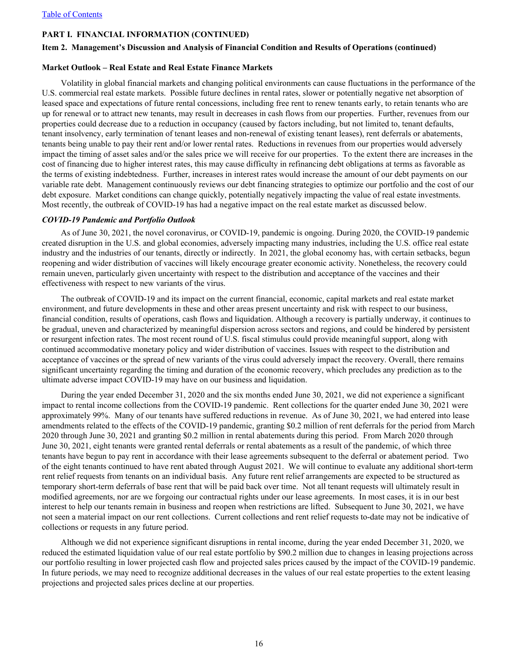### **Item 2. Management's Discussion and Analysis of Financial Condition and Results of Operations (continued)**

#### **Market Outlook – Real Estate and Real Estate Finance Markets**

Volatility in global financial markets and changing political environments can cause fluctuations in the performance of the U.S. commercial real estate markets. Possible future declines in rental rates, slower or potentially negative net absorption of leased space and expectations of future rental concessions, including free rent to renew tenants early, to retain tenants who are up for renewal or to attract new tenants, may result in decreases in cash flows from our properties. Further, revenues from our properties could decrease due to a reduction in occupancy (caused by factors including, but not limited to, tenant defaults, tenant insolvency, early termination of tenant leases and non-renewal of existing tenant leases), rent deferrals or abatements, tenants being unable to pay their rent and/or lower rental rates. Reductions in revenues from our properties would adversely impact the timing of asset sales and/or the sales price we will receive for our properties. To the extent there are increases in the cost of financing due to higher interest rates, this may cause difficulty in refinancing debt obligations at terms as favorable as the terms of existing indebtedness. Further, increases in interest rates would increase the amount of our debt payments on our variable rate debt. Management continuously reviews our debt financing strategies to optimize our portfolio and the cost of our debt exposure. Market conditions can change quickly, potentially negatively impacting the value of real estate investments. Most recently, the outbreak of COVID-19 has had a negative impact on the real estate market as discussed below.

#### *COVID-19 Pandemic and Portfolio Outlook*

As of June 30, 2021, the novel coronavirus, or COVID-19, pandemic is ongoing. During 2020, the COVID-19 pandemic created disruption in the U.S. and global economies, adversely impacting many industries, including the U.S. office real estate industry and the industries of our tenants, directly or indirectly. In 2021, the global economy has, with certain setbacks, begun reopening and wider distribution of vaccines will likely encourage greater economic activity. Nonetheless, the recovery could remain uneven, particularly given uncertainty with respect to the distribution and acceptance of the vaccines and their effectiveness with respect to new variants of the virus.

The outbreak of COVID-19 and its impact on the current financial, economic, capital markets and real estate market environment, and future developments in these and other areas present uncertainty and risk with respect to our business, financial condition, results of operations, cash flows and liquidation. Although a recovery is partially underway, it continues to be gradual, uneven and characterized by meaningful dispersion across sectors and regions, and could be hindered by persistent or resurgent infection rates. The most recent round of U.S. fiscal stimulus could provide meaningful support, along with continued accommodative monetary policy and wider distribution of vaccines. Issues with respect to the distribution and acceptance of vaccines or the spread of new variants of the virus could adversely impact the recovery. Overall, there remains significant uncertainty regarding the timing and duration of the economic recovery, which precludes any prediction as to the ultimate adverse impact COVID-19 may have on our business and liquidation.

During the year ended December 31, 2020 and the six months ended June 30, 2021, we did not experience a significant impact to rental income collections from the COVID-19 pandemic. Rent collections for the quarter ended June 30, 2021 were approximately 99%. Many of our tenants have suffered reductions in revenue. As of June 30, 2021, we had entered into lease amendments related to the effects of the COVID-19 pandemic, granting \$0.2 million of rent deferrals for the period from March 2020 through June 30, 2021 and granting \$0.2 million in rental abatements during this period. From March 2020 through June 30, 2021, eight tenants were granted rental deferrals or rental abatements as a result of the pandemic, of which three tenants have begun to pay rent in accordance with their lease agreements subsequent to the deferral or abatement period. Two of the eight tenants continued to have rent abated through August 2021. We will continue to evaluate any additional short-term rent relief requests from tenants on an individual basis. Any future rent relief arrangements are expected to be structured as temporary short-term deferrals of base rent that will be paid back over time. Not all tenant requests will ultimately result in modified agreements, nor are we forgoing our contractual rights under our lease agreements. In most cases, it is in our best interest to help our tenants remain in business and reopen when restrictions are lifted. Subsequent to June 30, 2021, we have not seen a material impact on our rent collections. Current collections and rent relief requests to-date may not be indicative of collections or requests in any future period.

Although we did not experience significant disruptions in rental income, during the year ended December 31, 2020, we reduced the estimated liquidation value of our real estate portfolio by \$90.2 million due to changes in leasing projections across our portfolio resulting in lower projected cash flow and projected sales prices caused by the impact of the COVID-19 pandemic. In future periods, we may need to recognize additional decreases in the values of our real estate properties to the extent leasing projections and projected sales prices decline at our properties.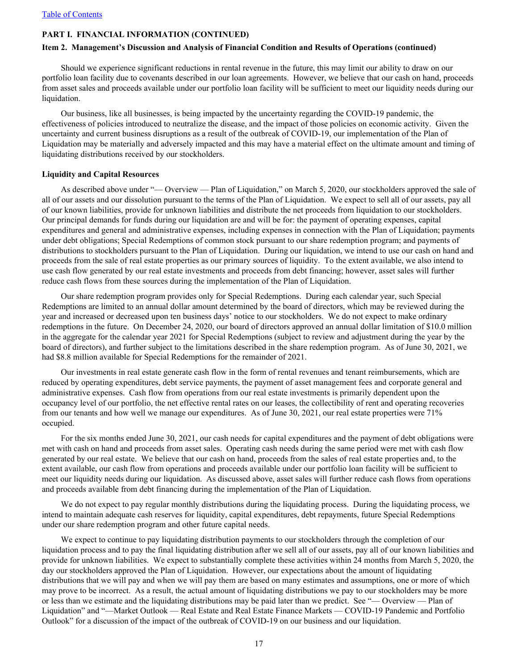## **Item 2. Management's Discussion and Analysis of Financial Condition and Results of Operations (continued)**

Should we experience significant reductions in rental revenue in the future, this may limit our ability to draw on our portfolio loan facility due to covenants described in our loan agreements. However, we believe that our cash on hand, proceeds from asset sales and proceeds available under our portfolio loan facility will be sufficient to meet our liquidity needs during our liquidation.

Our business, like all businesses, is being impacted by the uncertainty regarding the COVID-19 pandemic, the effectiveness of policies introduced to neutralize the disease, and the impact of those policies on economic activity. Given the uncertainty and current business disruptions as a result of the outbreak of COVID-19, our implementation of the Plan of Liquidation may be materially and adversely impacted and this may have a material effect on the ultimate amount and timing of liquidating distributions received by our stockholders.

#### **Liquidity and Capital Resources**

As described above under "— Overview — Plan of Liquidation," on March 5, 2020, our stockholders approved the sale of all of our assets and our dissolution pursuant to the terms of the Plan of Liquidation. We expect to sell all of our assets, pay all of our known liabilities, provide for unknown liabilities and distribute the net proceeds from liquidation to our stockholders. Our principal demands for funds during our liquidation are and will be for: the payment of operating expenses, capital expenditures and general and administrative expenses, including expenses in connection with the Plan of Liquidation; payments under debt obligations; Special Redemptions of common stock pursuant to our share redemption program; and payments of distributions to stockholders pursuant to the Plan of Liquidation. During our liquidation, we intend to use our cash on hand and proceeds from the sale of real estate properties as our primary sources of liquidity. To the extent available, we also intend to use cash flow generated by our real estate investments and proceeds from debt financing; however, asset sales will further reduce cash flows from these sources during the implementation of the Plan of Liquidation.

Our share redemption program provides only for Special Redemptions. During each calendar year, such Special Redemptions are limited to an annual dollar amount determined by the board of directors, which may be reviewed during the year and increased or decreased upon ten business days' notice to our stockholders. We do not expect to make ordinary redemptions in the future. On December 24, 2020, our board of directors approved an annual dollar limitation of \$10.0 million in the aggregate for the calendar year 2021 for Special Redemptions (subject to review and adjustment during the year by the board of directors), and further subject to the limitations described in the share redemption program. As of June 30, 2021, we had \$8.8 million available for Special Redemptions for the remainder of 2021.

Our investments in real estate generate cash flow in the form of rental revenues and tenant reimbursements, which are reduced by operating expenditures, debt service payments, the payment of asset management fees and corporate general and administrative expenses. Cash flow from operations from our real estate investments is primarily dependent upon the occupancy level of our portfolio, the net effective rental rates on our leases, the collectibility of rent and operating recoveries from our tenants and how well we manage our expenditures. As of June 30, 2021, our real estate properties were 71% occupied.

For the six months ended June 30, 2021, our cash needs for capital expenditures and the payment of debt obligations were met with cash on hand and proceeds from asset sales. Operating cash needs during the same period were met with cash flow generated by our real estate. We believe that our cash on hand, proceeds from the sales of real estate properties and, to the extent available, our cash flow from operations and proceeds available under our portfolio loan facility will be sufficient to meet our liquidity needs during our liquidation. As discussed above, asset sales will further reduce cash flows from operations and proceeds available from debt financing during the implementation of the Plan of Liquidation.

We do not expect to pay regular monthly distributions during the liquidating process. During the liquidating process, we intend to maintain adequate cash reserves for liquidity, capital expenditures, debt repayments, future Special Redemptions under our share redemption program and other future capital needs.

We expect to continue to pay liquidating distribution payments to our stockholders through the completion of our liquidation process and to pay the final liquidating distribution after we sell all of our assets, pay all of our known liabilities and provide for unknown liabilities. We expect to substantially complete these activities within 24 months from March 5, 2020, the day our stockholders approved the Plan of Liquidation. However, our expectations about the amount of liquidating distributions that we will pay and when we will pay them are based on many estimates and assumptions, one or more of which may prove to be incorrect. As a result, the actual amount of liquidating distributions we pay to our stockholders may be more or less than we estimate and the liquidating distributions may be paid later than we predict. See "— Overview — Plan of Liquidation" and "—Market Outlook — Real Estate and Real Estate Finance Markets — COVID-19 Pandemic and Portfolio Outlook" for a discussion of the impact of the outbreak of COVID-19 on our business and our liquidation.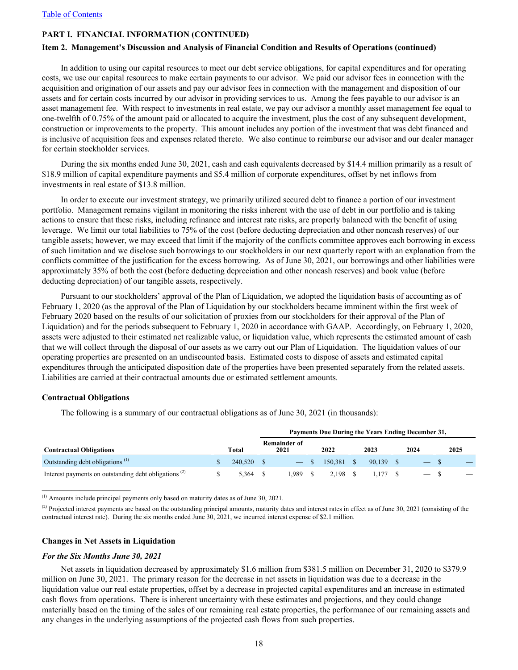## **Item 2. Management's Discussion and Analysis of Financial Condition and Results of Operations (continued)**

In addition to using our capital resources to meet our debt service obligations, for capital expenditures and for operating costs, we use our capital resources to make certain payments to our advisor. We paid our advisor fees in connection with the acquisition and origination of our assets and pay our advisor fees in connection with the management and disposition of our assets and for certain costs incurred by our advisor in providing services to us. Among the fees payable to our advisor is an asset management fee. With respect to investments in real estate, we pay our advisor a monthly asset management fee equal to one-twelfth of 0.75% of the amount paid or allocated to acquire the investment, plus the cost of any subsequent development, construction or improvements to the property. This amount includes any portion of the investment that was debt financed and is inclusive of acquisition fees and expenses related thereto. We also continue to reimburse our advisor and our dealer manager for certain stockholder services.

During the six months ended June 30, 2021, cash and cash equivalents decreased by \$14.4 million primarily as a result of \$18.9 million of capital expenditure payments and \$5.4 million of corporate expenditures, offset by net inflows from investments in real estate of \$13.8 million.

In order to execute our investment strategy, we primarily utilized secured debt to finance a portion of our investment portfolio. Management remains vigilant in monitoring the risks inherent with the use of debt in our portfolio and is taking actions to ensure that these risks, including refinance and interest rate risks, are properly balanced with the benefit of using leverage. We limit our total liabilities to 75% of the cost (before deducting depreciation and other noncash reserves) of our tangible assets; however, we may exceed that limit if the majority of the conflicts committee approves each borrowing in excess of such limitation and we disclose such borrowings to our stockholders in our next quarterly report with an explanation from the conflicts committee of the justification for the excess borrowing. As of June 30, 2021, our borrowings and other liabilities were approximately 35% of both the cost (before deducting depreciation and other noncash reserves) and book value (before deducting depreciation) of our tangible assets, respectively.

Pursuant to our stockholders' approval of the Plan of Liquidation, we adopted the liquidation basis of accounting as of February 1, 2020 (as the approval of the Plan of Liquidation by our stockholders became imminent within the first week of February 2020 based on the results of our solicitation of proxies from our stockholders for their approval of the Plan of Liquidation) and for the periods subsequent to February 1, 2020 in accordance with GAAP. Accordingly, on February 1, 2020, assets were adjusted to their estimated net realizable value, or liquidation value, which represents the estimated amount of cash that we will collect through the disposal of our assets as we carry out our Plan of Liquidation. The liquidation values of our operating properties are presented on an undiscounted basis. Estimated costs to dispose of assets and estimated capital expenditures through the anticipated disposition date of the properties have been presented separately from the related assets. Liabilities are carried at their contractual amounts due or estimated settlement amounts.

#### **Contractual Obligations**

 $\mathcal{L}_\text{max}$  , where  $\mathcal{L}_\text{max}$  and  $\mathcal{L}_\text{max}$ 

The following is a summary of our contractual obligations as of June 30, 2021 (in thousands):

|                                                         |              | Payments Due During the Years Ending December 31, |                             |  |            |  |        |  |      |  |      |
|---------------------------------------------------------|--------------|---------------------------------------------------|-----------------------------|--|------------|--|--------|--|------|--|------|
| <b>Contractual Obligations</b>                          | <b>Total</b> |                                                   | <b>Remainder of</b><br>2021 |  | 2022       |  | 2023   |  | 2024 |  | 2025 |
| Outstanding debt obligations <sup>(1)</sup>             | 240.520      |                                                   |                             |  | 150.381 \$ |  | 90.139 |  |      |  |      |
| Interest payments on outstanding debt obligations $(2)$ | 5.364        |                                                   | .989                        |  | 2.198      |  |        |  |      |  |      |

(1) Amounts include principal payments only based on maturity dates as of June 30, 2021.

<sup>(2)</sup> Projected interest payments are based on the outstanding principal amounts, maturity dates and interest rates in effect as of June 30, 2021 (consisting of the contractual interest rate). During the six months ended June 30, 2021, we incurred interest expense of \$2.1 million.

#### **Changes in Net Assets in Liquidation**

#### *For the Six Months June 30, 2021*

Net assets in liquidation decreased by approximately \$1.6 million from \$381.5 million on December 31, 2020 to \$379.9 million on June 30, 2021. The primary reason for the decrease in net assets in liquidation was due to a decrease in the liquidation value our real estate properties, offset by a decrease in projected capital expenditures and an increase in estimated cash flows from operations. There is inherent uncertainty with these estimates and projections, and they could change materially based on the timing of the sales of our remaining real estate properties, the performance of our remaining assets and any changes in the underlying assumptions of the projected cash flows from such properties.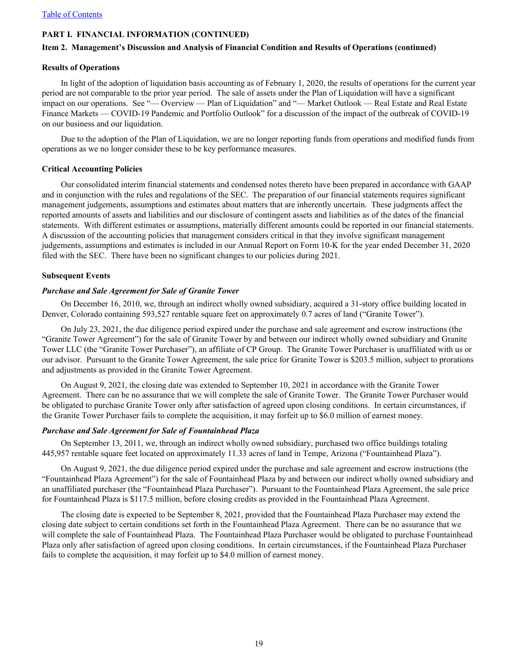## **Item 2. Management's Discussion and Analysis of Financial Condition and Results of Operations (continued)**

#### **Results of Operations**

In light of the adoption of liquidation basis accounting as of February 1, 2020, the results of operations for the current year period are not comparable to the prior year period. The sale of assets under the Plan of Liquidation will have a significant impact on our operations. See "— Overview — Plan of Liquidation" and "— Market Outlook — Real Estate and Real Estate Finance Markets — COVID-19 Pandemic and Portfolio Outlook" for a discussion of the impact of the outbreak of COVID-19 on our business and our liquidation.

Due to the adoption of the Plan of Liquidation, we are no longer reporting funds from operations and modified funds from operations as we no longer consider these to be key performance measures.

#### **Critical Accounting Policies**

Our consolidated interim financial statements and condensed notes thereto have been prepared in accordance with GAAP and in conjunction with the rules and regulations of the SEC. The preparation of our financial statements requires significant management judgements, assumptions and estimates about matters that are inherently uncertain. These judgments affect the reported amounts of assets and liabilities and our disclosure of contingent assets and liabilities as of the dates of the financial statements. With different estimates or assumptions, materially different amounts could be reported in our financial statements. A discussion of the accounting policies that management considers critical in that they involve significant management judgements, assumptions and estimates is included in our Annual Report on Form 10-K for the year ended December 31, 2020 filed with the SEC. There have been no significant changes to our policies during 2021.

#### **Subsequent Events**

#### *Purchase and Sale Agreement for Sale of Granite Tower*

On December 16, 2010, we, through an indirect wholly owned subsidiary, acquired a 31-story office building located in Denver, Colorado containing 593,527 rentable square feet on approximately 0.7 acres of land ("Granite Tower").

On July 23, 2021, the due diligence period expired under the purchase and sale agreement and escrow instructions (the "Granite Tower Agreement") for the sale of Granite Tower by and between our indirect wholly owned subsidiary and Granite Tower LLC (the "Granite Tower Purchaser"), an affiliate of CP Group. The Granite Tower Purchaser is unaffiliated with us or our advisor. Pursuant to the Granite Tower Agreement, the sale price for Granite Tower is \$203.5 million, subject to prorations and adjustments as provided in the Granite Tower Agreement.

On August 9, 2021, the closing date was extended to September 10, 2021 in accordance with the Granite Tower Agreement. There can be no assurance that we will complete the sale of Granite Tower. The Granite Tower Purchaser would be obligated to purchase Granite Tower only after satisfaction of agreed upon closing conditions. In certain circumstances, if the Granite Tower Purchaser fails to complete the acquisition, it may forfeit up to \$6.0 million of earnest money.

#### *Purchase and Sale Agreement for Sale of Fountainhead Plaza*

On September 13, 2011, we, through an indirect wholly owned subsidiary, purchased two office buildings totaling 445,957 rentable square feet located on approximately 11.33 acres of land in Tempe, Arizona ("Fountainhead Plaza").

On August 9, 2021, the due diligence period expired under the purchase and sale agreement and escrow instructions (the "Fountainhead Plaza Agreement") for the sale of Fountainhead Plaza by and between our indirect wholly owned subsidiary and an unaffiliated purchaser (the "Fountainhead Plaza Purchaser"). Pursuant to the Fountainhead Plaza Agreement, the sale price for Fountainhead Plaza is \$117.5 million, before closing credits as provided in the Fountainhead Plaza Agreement.

The closing date is expected to be September 8, 2021, provided that the Fountainhead Plaza Purchaser may extend the closing date subject to certain conditions set forth in the Fountainhead Plaza Agreement. There can be no assurance that we will complete the sale of Fountainhead Plaza. The Fountainhead Plaza Purchaser would be obligated to purchase Fountainhead Plaza only after satisfaction of agreed upon closing conditions. In certain circumstances, if the Fountainhead Plaza Purchaser fails to complete the acquisition, it may forfeit up to \$4.0 million of earnest money.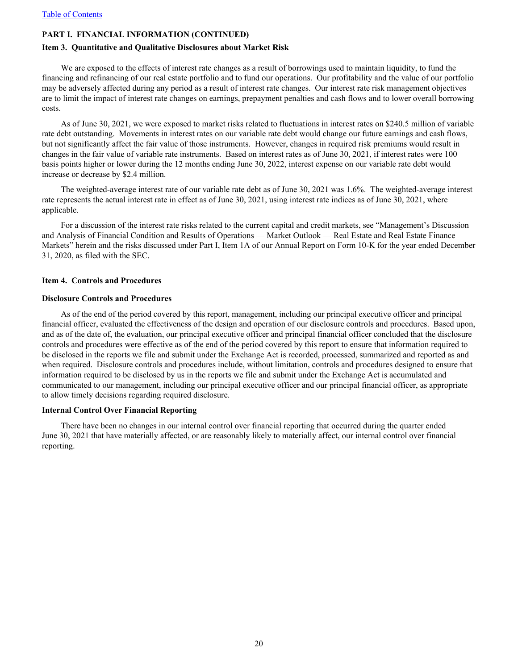#### <span id="page-20-0"></span>**Item 3. Quantitative and Qualitative Disclosures about Market Risk**

We are exposed to the effects of interest rate changes as a result of borrowings used to maintain liquidity, to fund the financing and refinancing of our real estate portfolio and to fund our operations. Our profitability and the value of our portfolio may be adversely affected during any period as a result of interest rate changes. Our interest rate risk management objectives are to limit the impact of interest rate changes on earnings, prepayment penalties and cash flows and to lower overall borrowing costs.

As of June 30, 2021, we were exposed to market risks related to fluctuations in interest rates on \$240.5 million of variable rate debt outstanding. Movements in interest rates on our variable rate debt would change our future earnings and cash flows, but not significantly affect the fair value of those instruments. However, changes in required risk premiums would result in changes in the fair value of variable rate instruments. Based on interest rates as of June 30, 2021, if interest rates were 100 basis points higher or lower during the 12 months ending June 30, 2022, interest expense on our variable rate debt would increase or decrease by \$2.4 million.

The weighted-average interest rate of our variable rate debt as of June 30, 2021 was 1.6%. The weighted-average interest rate represents the actual interest rate in effect as of June 30, 2021, using interest rate indices as of June 30, 2021, where applicable.

For a discussion of the interest rate risks related to the current capital and credit markets, see "Management's Discussion and Analysis of Financial Condition and Results of Operations — Market Outlook — Real Estate and Real Estate Finance Markets" herein and the risks discussed under Part I, Item 1A of our Annual Report on Form 10-K for the year ended December 31, 2020, as filed with the SEC.

#### **Item 4. Controls and Procedures**

#### **Disclosure Controls and Procedures**

As of the end of the period covered by this report, management, including our principal executive officer and principal financial officer, evaluated the effectiveness of the design and operation of our disclosure controls and procedures. Based upon, and as of the date of, the evaluation, our principal executive officer and principal financial officer concluded that the disclosure controls and procedures were effective as of the end of the period covered by this report to ensure that information required to be disclosed in the reports we file and submit under the Exchange Act is recorded, processed, summarized and reported as and when required. Disclosure controls and procedures include, without limitation, controls and procedures designed to ensure that information required to be disclosed by us in the reports we file and submit under the Exchange Act is accumulated and communicated to our management, including our principal executive officer and our principal financial officer, as appropriate to allow timely decisions regarding required disclosure.

#### **Internal Control Over Financial Reporting**

There have been no changes in our internal control over financial reporting that occurred during the quarter ended June 30, 2021 that have materially affected, or are reasonably likely to materially affect, our internal control over financial reporting.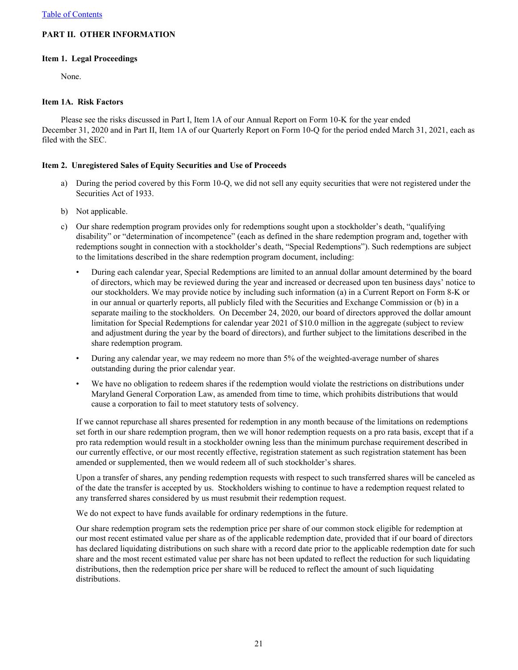## <span id="page-21-0"></span>**PART II. OTHER INFORMATION**

## **Item 1. Legal Proceedings**

None.

#### **Item 1A. Risk Factors**

Please see the risks discussed in Part I, Item 1A of our Annual Report on Form 10-K for the year ended December 31, 2020 and in Part II, Item 1A of our Quarterly Report on Form 10-Q for the period ended March 31, 2021, each as filed with the SEC.

## **Item 2. Unregistered Sales of Equity Securities and Use of Proceeds**

- a) During the period covered by this Form 10-Q, we did not sell any equity securities that were not registered under the Securities Act of 1933.
- b) Not applicable.
- c) Our share redemption program provides only for redemptions sought upon a stockholder's death, "qualifying disability" or "determination of incompetence" (each as defined in the share redemption program and, together with redemptions sought in connection with a stockholder's death, "Special Redemptions"). Such redemptions are subject to the limitations described in the share redemption program document, including:
	- During each calendar year, Special Redemptions are limited to an annual dollar amount determined by the board of directors, which may be reviewed during the year and increased or decreased upon ten business days' notice to our stockholders. We may provide notice by including such information (a) in a Current Report on Form 8-K or in our annual or quarterly reports, all publicly filed with the Securities and Exchange Commission or (b) in a separate mailing to the stockholders. On December 24, 2020, our board of directors approved the dollar amount limitation for Special Redemptions for calendar year 2021 of \$10.0 million in the aggregate (subject to review and adjustment during the year by the board of directors), and further subject to the limitations described in the share redemption program.
	- During any calendar year, we may redeem no more than 5% of the weighted-average number of shares outstanding during the prior calendar year.
	- We have no obligation to redeem shares if the redemption would violate the restrictions on distributions under Maryland General Corporation Law, as amended from time to time, which prohibits distributions that would cause a corporation to fail to meet statutory tests of solvency.

If we cannot repurchase all shares presented for redemption in any month because of the limitations on redemptions set forth in our share redemption program, then we will honor redemption requests on a pro rata basis, except that if a pro rata redemption would result in a stockholder owning less than the minimum purchase requirement described in our currently effective, or our most recently effective, registration statement as such registration statement has been amended or supplemented, then we would redeem all of such stockholder's shares.

Upon a transfer of shares, any pending redemption requests with respect to such transferred shares will be canceled as of the date the transfer is accepted by us. Stockholders wishing to continue to have a redemption request related to any transferred shares considered by us must resubmit their redemption request.

We do not expect to have funds available for ordinary redemptions in the future.

Our share redemption program sets the redemption price per share of our common stock eligible for redemption at our most recent estimated value per share as of the applicable redemption date, provided that if our board of directors has declared liquidating distributions on such share with a record date prior to the applicable redemption date for such share and the most recent estimated value per share has not been updated to reflect the reduction for such liquidating distributions, then the redemption price per share will be reduced to reflect the amount of such liquidating distributions.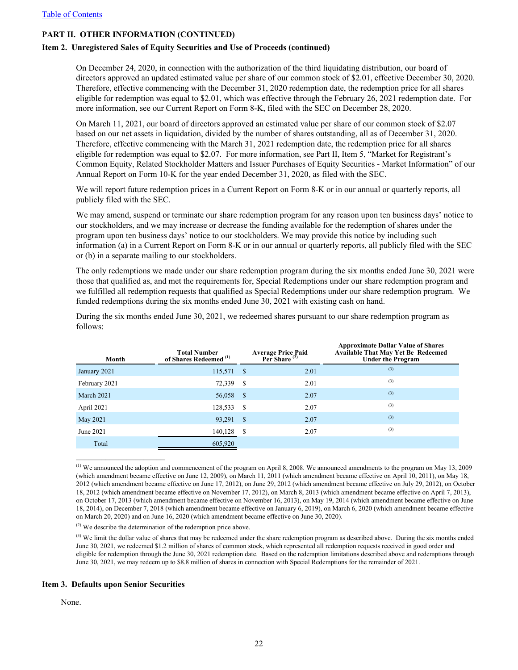## <span id="page-22-0"></span>**PART II. OTHER INFORMATION (CONTINUED)**

#### **Item 2. Unregistered Sales of Equity Securities and Use of Proceeds (continued)**

On December 24, 2020, in connection with the authorization of the third liquidating distribution, our board of directors approved an updated estimated value per share of our common stock of \$2.01, effective December 30, 2020. Therefore, effective commencing with the December 31, 2020 redemption date, the redemption price for all shares eligible for redemption was equal to \$2.01, which was effective through the February 26, 2021 redemption date. For more information, see our Current Report on Form 8-K, filed with the SEC on December 28, 2020.

On March 11, 2021, our board of directors approved an estimated value per share of our common stock of \$2.07 based on our net assets in liquidation, divided by the number of shares outstanding, all as of December 31, 2020. Therefore, effective commencing with the March 31, 2021 redemption date, the redemption price for all shares eligible for redemption was equal to \$2.07. For more information, see Part II, Item 5, "Market for Registrant's Common Equity, Related Stockholder Matters and Issuer Purchases of Equity Securities - Market Information" of our Annual Report on Form 10-K for the year ended December 31, 2020, as filed with the SEC.

We will report future redemption prices in a Current Report on Form 8-K or in our annual or quarterly reports, all publicly filed with the SEC.

We may amend, suspend or terminate our share redemption program for any reason upon ten business days' notice to our stockholders, and we may increase or decrease the funding available for the redemption of shares under the program upon ten business days' notice to our stockholders. We may provide this notice by including such information (a) in a Current Report on Form 8-K or in our annual or quarterly reports, all publicly filed with the SEC or (b) in a separate mailing to our stockholders.

The only redemptions we made under our share redemption program during the six months ended June 30, 2021 were those that qualified as, and met the requirements for, Special Redemptions under our share redemption program and we fulfilled all redemption requests that qualified as Special Redemptions under our share redemption program. We funded redemptions during the six months ended June 30, 2021 with existing cash on hand.

During the six months ended June 30, 2021, we redeemed shares pursuant to our share redemption program as follows:

| Month         | <b>Total Number</b><br>of Shares Redeemed <sup>(1)</sup> |      | <b>Average Price Paid<br/>Per Share</b> <sup>(2)</sup> | <b>Approximate Dollar Value of Shares</b><br>Available That May Yet Be Redeemed<br><b>Under the Program</b> |
|---------------|----------------------------------------------------------|------|--------------------------------------------------------|-------------------------------------------------------------------------------------------------------------|
| January 2021  | 115,571                                                  | - \$ | 2.01                                                   | (3)                                                                                                         |
| February 2021 | 72,339                                                   | - \$ | 2.01                                                   | (3)                                                                                                         |
| March 2021    | 56,058                                                   | - \$ | 2.07                                                   | (3)                                                                                                         |
| April 2021    | 128,533                                                  | -S   | 2.07                                                   | (3)                                                                                                         |
| May 2021      | 93,291                                                   | - \$ | 2.07                                                   | (3)                                                                                                         |
| June 2021     | 140,128                                                  | - \$ | 2.07                                                   | (3)                                                                                                         |
| Total         | 605,920                                                  |      |                                                        |                                                                                                             |

(1) We announced the adoption and commencement of the program on April 8, 2008. We announced amendments to the program on May 13, 2009 (which amendment became effective on June 12, 2009), on March 11, 2011 (which amendment became effective on April 10, 2011), on May 18, 2012 (which amendment became effective on June 17, 2012), on June 29, 2012 (which amendment became effective on July 29, 2012), on October 18, 2012 (which amendment became effective on November 17, 2012), on March 8, 2013 (which amendment became effective on April 7, 2013), on October 17, 2013 (which amendment became effective on November 16, 2013), on May 19, 2014 (which amendment became effective on June 18, 2014), on December 7, 2018 (which amendment became effective on January 6, 2019), on March 6, 2020 (which amendment became effective on March 20, 2020) and on June 16, 2020 (which amendment became effective on June 30, 2020).

(2) We describe the determination of the redemption price above.

<sup>(3)</sup> We limit the dollar value of shares that may be redeemed under the share redemption program as described above. During the six months ended June 30, 2021, we redeemed \$1.2 million of shares of common stock, which represented all redemption requests received in good order and eligible for redemption through the June 30, 2021 redemption date. Based on the redemption limitations described above and redemptions through June 30, 2021, we may redeem up to \$8.8 million of shares in connection with Special Redemptions for the remainder of 2021.

#### **Item 3. Defaults upon Senior Securities**

 $\mathcal{L}_\text{max}$  , where  $\mathcal{L}_\text{max}$  and  $\mathcal{L}_\text{max}$ 

None.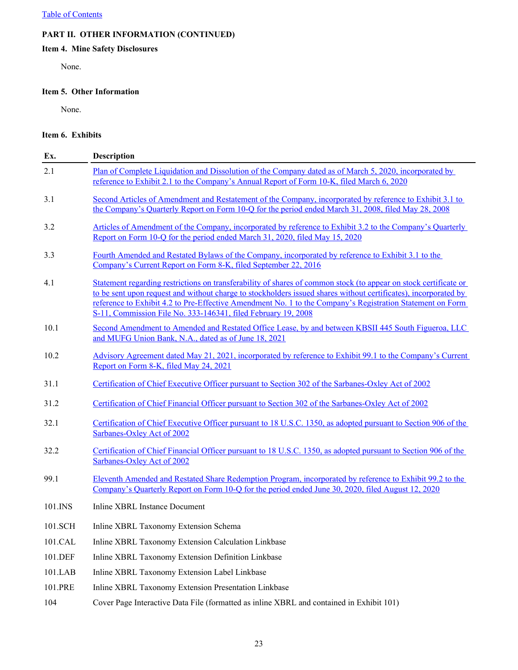## <span id="page-23-0"></span>**PART II. OTHER INFORMATION (CONTINUED)**

## **Item 4. Mine Safety Disclosures**

None.

## **Item 5. Other Information**

None.

## **Item 6. Exhibits**

| Ex.     | <b>Description</b>                                                                                                                                                                                                                                                                                                                                                                                                |
|---------|-------------------------------------------------------------------------------------------------------------------------------------------------------------------------------------------------------------------------------------------------------------------------------------------------------------------------------------------------------------------------------------------------------------------|
| 2.1     | Plan of Complete Liquidation and Dissolution of the Company dated as of March 5, 2020, incorporated by<br>reference to Exhibit 2.1 to the Company's Annual Report of Form 10-K, filed March 6, 2020                                                                                                                                                                                                               |
| 3.1     | Second Articles of Amendment and Restatement of the Company, incorporated by reference to Exhibit 3.1 to<br>the Company's Quarterly Report on Form 10-Q for the period ended March 31, 2008, filed May 28, 2008                                                                                                                                                                                                   |
| 3.2     | Articles of Amendment of the Company, incorporated by reference to Exhibit 3.2 to the Company's Quarterly<br>Report on Form 10-Q for the period ended March 31, 2020, filed May 15, 2020                                                                                                                                                                                                                          |
| 3.3     | Fourth Amended and Restated Bylaws of the Company, incorporated by reference to Exhibit 3.1 to the<br>Company's Current Report on Form 8-K, filed September 22, 2016                                                                                                                                                                                                                                              |
| 4.1     | Statement regarding restrictions on transferability of shares of common stock (to appear on stock certificate or<br>to be sent upon request and without charge to stockholders issued shares without certificates), incorporated by<br>reference to Exhibit 4.2 to Pre-Effective Amendment No. 1 to the Company's Registration Statement on Form<br>S-11, Commission File No. 333-146341, filed February 19, 2008 |
| 10.1    | Second Amendment to Amended and Restated Office Lease, by and between KBSII 445 South Figueroa, LLC<br>and MUFG Union Bank, N.A., dated as of June 18, 2021                                                                                                                                                                                                                                                       |
| 10.2    | Advisory Agreement dated May 21, 2021, incorporated by reference to Exhibit 99.1 to the Company's Current<br>Report on Form 8-K, filed May 24, 2021                                                                                                                                                                                                                                                               |
| 31.1    | Certification of Chief Executive Officer pursuant to Section 302 of the Sarbanes-Oxley Act of 2002                                                                                                                                                                                                                                                                                                                |
| 31.2    | Certification of Chief Financial Officer pursuant to Section 302 of the Sarbanes-Oxley Act of 2002                                                                                                                                                                                                                                                                                                                |
| 32.1    | Certification of Chief Executive Officer pursuant to 18 U.S.C. 1350, as adopted pursuant to Section 906 of the<br>Sarbanes-Oxley Act of 2002                                                                                                                                                                                                                                                                      |
| 32.2    | Certification of Chief Financial Officer pursuant to 18 U.S.C. 1350, as adopted pursuant to Section 906 of the<br>Sarbanes-Oxley Act of 2002                                                                                                                                                                                                                                                                      |
| 99.1    | Eleventh Amended and Restated Share Redemption Program, incorporated by reference to Exhibit 99.2 to the<br>Company's Quarterly Report on Form 10-Q for the period ended June 30, 2020, filed August 12, 2020                                                                                                                                                                                                     |
| 101.INS | <b>Inline XBRL Instance Document</b>                                                                                                                                                                                                                                                                                                                                                                              |
| 101.SCH | Inline XBRL Taxonomy Extension Schema                                                                                                                                                                                                                                                                                                                                                                             |
| 101.CAL | Inline XBRL Taxonomy Extension Calculation Linkbase                                                                                                                                                                                                                                                                                                                                                               |
| 101.DEF | Inline XBRL Taxonomy Extension Definition Linkbase                                                                                                                                                                                                                                                                                                                                                                |
| 101.LAB | Inline XBRL Taxonomy Extension Label Linkbase                                                                                                                                                                                                                                                                                                                                                                     |
| 101.PRE | Inline XBRL Taxonomy Extension Presentation Linkbase                                                                                                                                                                                                                                                                                                                                                              |
| 104     | Cover Page Interactive Data File (formatted as inline XBRL and contained in Exhibit 101)                                                                                                                                                                                                                                                                                                                          |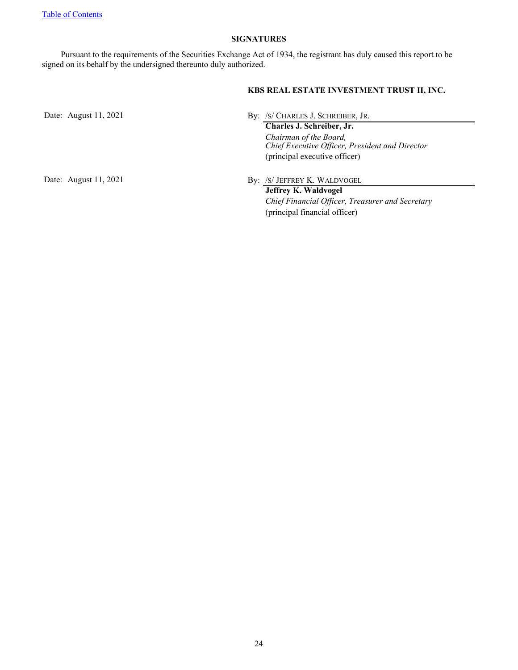## **SIGNATURES**

<span id="page-24-0"></span>Pursuant to the requirements of the Securities Exchange Act of 1934, the registrant has duly caused this report to be signed on its behalf by the undersigned thereunto duly authorized.

## **KBS REAL ESTATE INVESTMENT TRUST II, INC.**

*Chief Financial Officer, Treasurer and Secretary*

(principal financial officer)

Date: August 11, 2021 By: /S/ CHARLES J. SCHREIBER, JR. **Charles J. Schreiber, Jr.** *Chairman of the Board, Chief Executive Officer, President and Director* (principal executive officer) Date: August 11, 2021 By: /S/ JEFFREY K. WALDVOGEL **Jeffrey K. Waldvogel**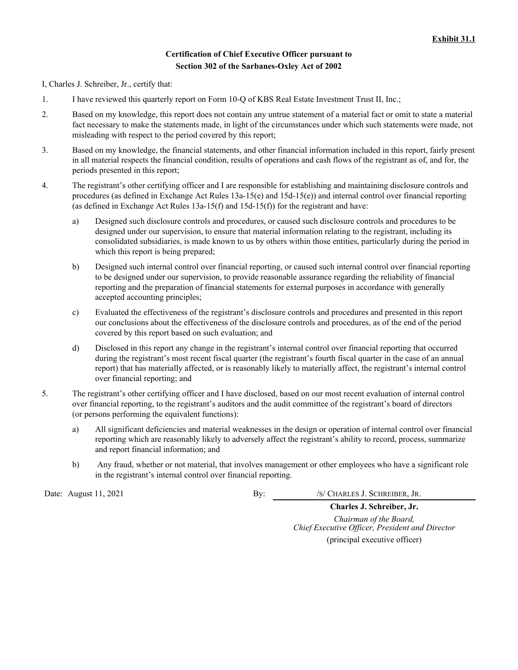## **Certification of Chief Executive Officer pursuant to Section 302 of the Sarbanes-Oxley Act of 2002**

I, Charles J. Schreiber, Jr., certify that:

- 1. I have reviewed this quarterly report on Form 10-Q of KBS Real Estate Investment Trust II, Inc.;
- 2. Based on my knowledge, this report does not contain any untrue statement of a material fact or omit to state a material fact necessary to make the statements made, in light of the circumstances under which such statements were made, not misleading with respect to the period covered by this report;
- 3. Based on my knowledge, the financial statements, and other financial information included in this report, fairly present in all material respects the financial condition, results of operations and cash flows of the registrant as of, and for, the periods presented in this report;
- 4. The registrant's other certifying officer and I are responsible for establishing and maintaining disclosure controls and procedures (as defined in Exchange Act Rules 13a-15(e) and 15d-15(e)) and internal control over financial reporting (as defined in Exchange Act Rules  $13a-15(f)$  and  $15d-15(f)$ ) for the registrant and have:
	- a) Designed such disclosure controls and procedures, or caused such disclosure controls and procedures to be designed under our supervision, to ensure that material information relating to the registrant, including its consolidated subsidiaries, is made known to us by others within those entities, particularly during the period in which this report is being prepared;
	- b) Designed such internal control over financial reporting, or caused such internal control over financial reporting to be designed under our supervision, to provide reasonable assurance regarding the reliability of financial reporting and the preparation of financial statements for external purposes in accordance with generally accepted accounting principles;
	- c) Evaluated the effectiveness of the registrant's disclosure controls and procedures and presented in this report our conclusions about the effectiveness of the disclosure controls and procedures, as of the end of the period covered by this report based on such evaluation; and
	- d) Disclosed in this report any change in the registrant's internal control over financial reporting that occurred during the registrant's most recent fiscal quarter (the registrant's fourth fiscal quarter in the case of an annual report) that has materially affected, or is reasonably likely to materially affect, the registrant's internal control over financial reporting; and
- 5. The registrant's other certifying officer and I have disclosed, based on our most recent evaluation of internal control over financial reporting, to the registrant's auditors and the audit committee of the registrant's board of directors (or persons performing the equivalent functions):
	- a) All significant deficiencies and material weaknesses in the design or operation of internal control over financial reporting which are reasonably likely to adversely affect the registrant's ability to record, process, summarize and report financial information; and
	- b) Any fraud, whether or not material, that involves management or other employees who have a significant role in the registrant's internal control over financial reporting.

Date: August 11, 2021 By: /S/ CHARLES J. SCHREIBER, JR.

**Charles J. Schreiber, Jr.** *Chairman of the Board, Chief Executive Officer, President and Director* (principal executive officer)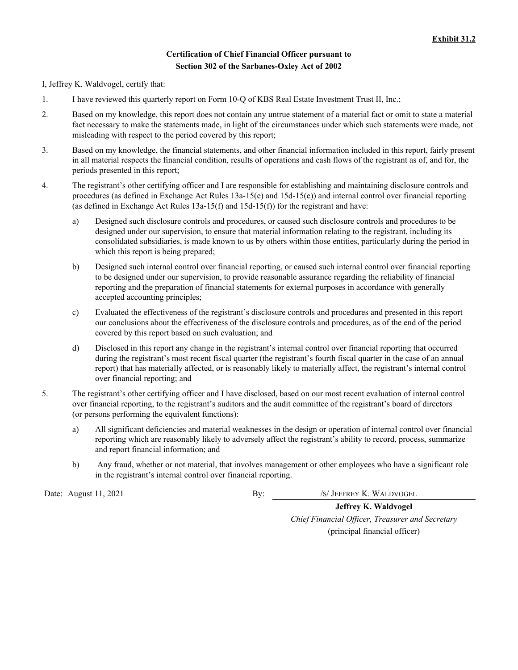## **Certification of Chief Financial Officer pursuant to Section 302 of the Sarbanes-Oxley Act of 2002**

I, Jeffrey K. Waldvogel, certify that:

- 1. I have reviewed this quarterly report on Form 10-Q of KBS Real Estate Investment Trust II, Inc.;
- 2. Based on my knowledge, this report does not contain any untrue statement of a material fact or omit to state a material fact necessary to make the statements made, in light of the circumstances under which such statements were made, not misleading with respect to the period covered by this report;
- 3. Based on my knowledge, the financial statements, and other financial information included in this report, fairly present in all material respects the financial condition, results of operations and cash flows of the registrant as of, and for, the periods presented in this report;
- 4. The registrant's other certifying officer and I are responsible for establishing and maintaining disclosure controls and procedures (as defined in Exchange Act Rules 13a-15(e) and 15d-15(e)) and internal control over financial reporting (as defined in Exchange Act Rules  $13a-15(f)$  and  $15d-15(f)$ ) for the registrant and have:
	- a) Designed such disclosure controls and procedures, or caused such disclosure controls and procedures to be designed under our supervision, to ensure that material information relating to the registrant, including its consolidated subsidiaries, is made known to us by others within those entities, particularly during the period in which this report is being prepared;
	- b) Designed such internal control over financial reporting, or caused such internal control over financial reporting to be designed under our supervision, to provide reasonable assurance regarding the reliability of financial reporting and the preparation of financial statements for external purposes in accordance with generally accepted accounting principles;
	- c) Evaluated the effectiveness of the registrant's disclosure controls and procedures and presented in this report our conclusions about the effectiveness of the disclosure controls and procedures, as of the end of the period covered by this report based on such evaluation; and
	- d) Disclosed in this report any change in the registrant's internal control over financial reporting that occurred during the registrant's most recent fiscal quarter (the registrant's fourth fiscal quarter in the case of an annual report) that has materially affected, or is reasonably likely to materially affect, the registrant's internal control over financial reporting; and
- 5. The registrant's other certifying officer and I have disclosed, based on our most recent evaluation of internal control over financial reporting, to the registrant's auditors and the audit committee of the registrant's board of directors (or persons performing the equivalent functions):
	- a) All significant deficiencies and material weaknesses in the design or operation of internal control over financial reporting which are reasonably likely to adversely affect the registrant's ability to record, process, summarize and report financial information; and
	- b) Any fraud, whether or not material, that involves management or other employees who have a significant role in the registrant's internal control over financial reporting.

Date: August 11, 2021 By: /S/ JEFFREY K. WALDVOGEL

**Jeffrey K. Waldvogel** *Chief Financial Officer, Treasurer and Secretary* (principal financial officer)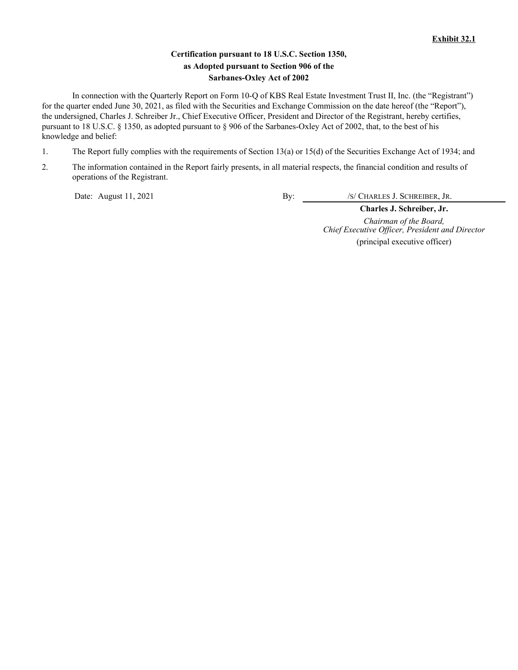## **Certification pursuant to 18 U.S.C. Section 1350, as Adopted pursuant to Section 906 of the Sarbanes-Oxley Act of 2002**

In connection with the Quarterly Report on Form 10-Q of KBS Real Estate Investment Trust II, Inc. (the "Registrant") for the quarter ended June 30, 2021, as filed with the Securities and Exchange Commission on the date hereof (the "Report"), the undersigned, Charles J. Schreiber Jr., Chief Executive Officer, President and Director of the Registrant, hereby certifies, pursuant to 18 U.S.C. § 1350, as adopted pursuant to § 906 of the Sarbanes-Oxley Act of 2002, that, to the best of his knowledge and belief:

- 1. The Report fully complies with the requirements of Section 13(a) or 15(d) of the Securities Exchange Act of 1934; and
- 2. The information contained in the Report fairly presents, in all material respects, the financial condition and results of operations of the Registrant.

Date: August 11, 2021 By: /S/ CHARLES J. SCHREIBER, JR.

**Charles J. Schreiber, Jr.** *Chairman of the Board, Chief Executive Officer, President and Director* (principal executive officer)